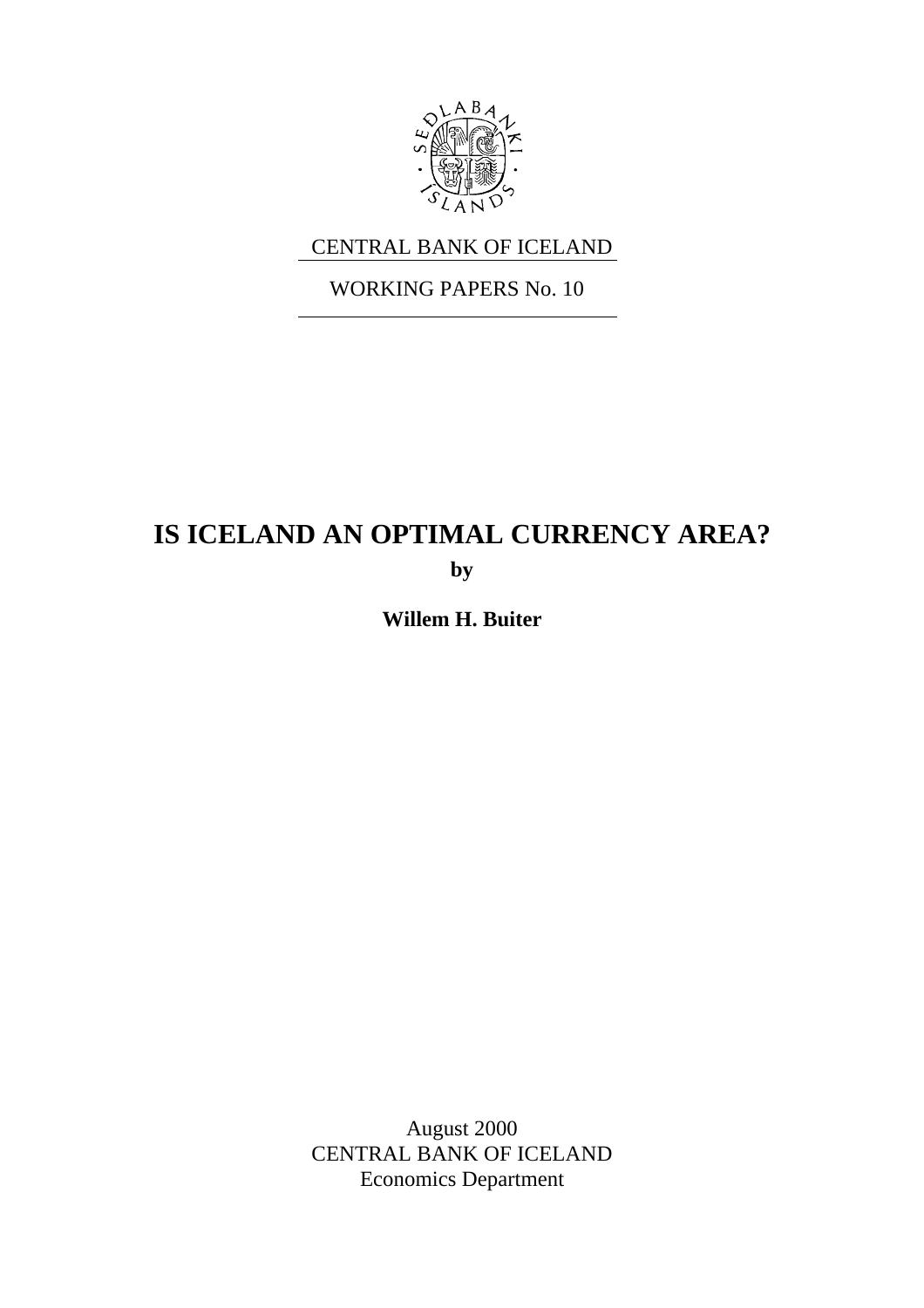

# CENTRAL BANK OF ICELAND

WORKING PAPERS No. 10

# **IS ICELAND AN OPTIMAL CURRENCY AREA? by**

**Willem H. Buiter**

August 2000 CENTRAL BANK OF ICELAND Economics Department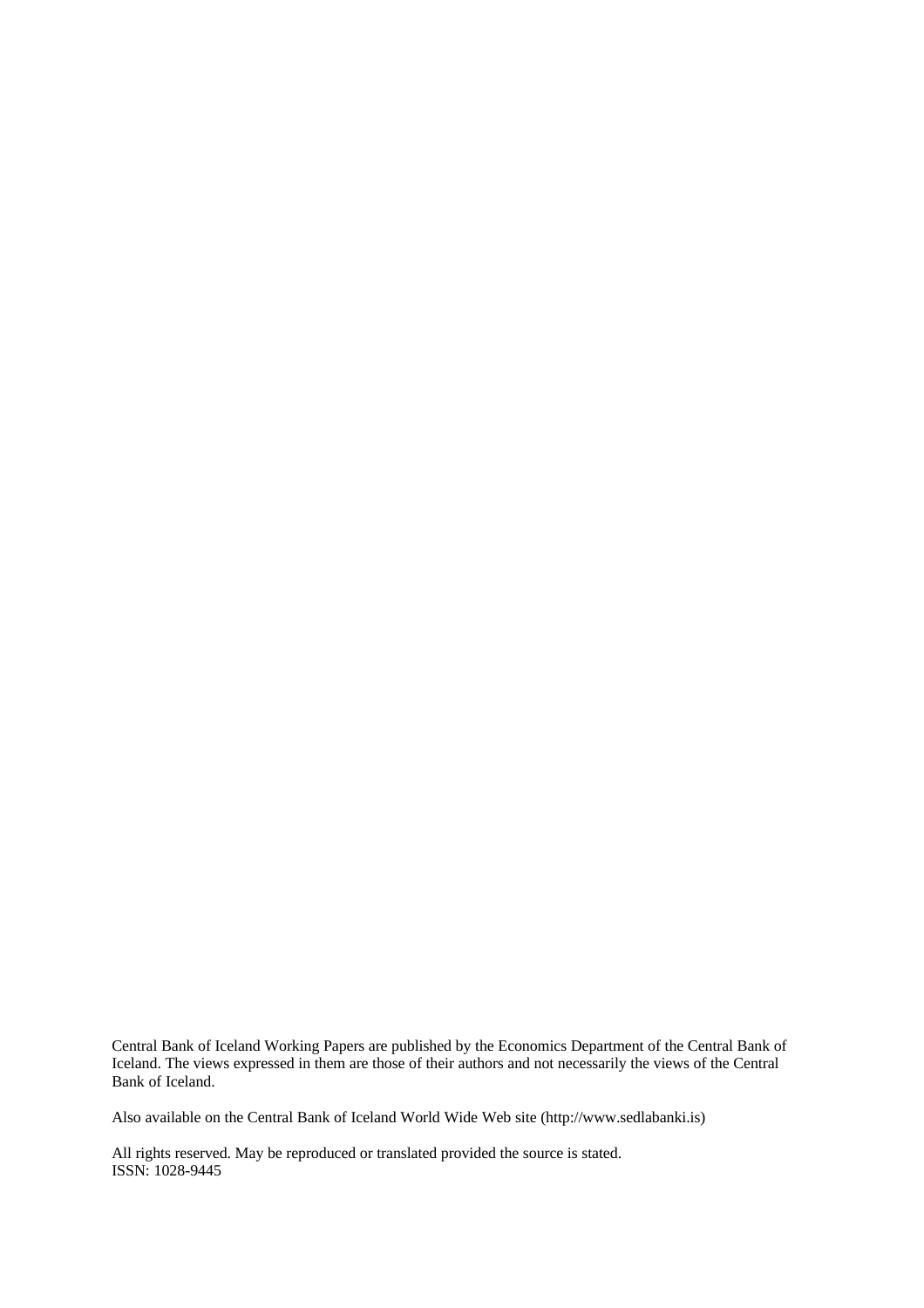Central Bank of Iceland Working Papers are published by the Economics Department of the Central Bank of Iceland. The views expressed in them are those of their authors and not necessarily the views of the Central Bank of Iceland.

Also available on the Central Bank of Iceland World Wide Web site (http://www.sedlabanki.is)

All rights reserved. May be reproduced or translated provided the source is stated. ISSN: 1028-9445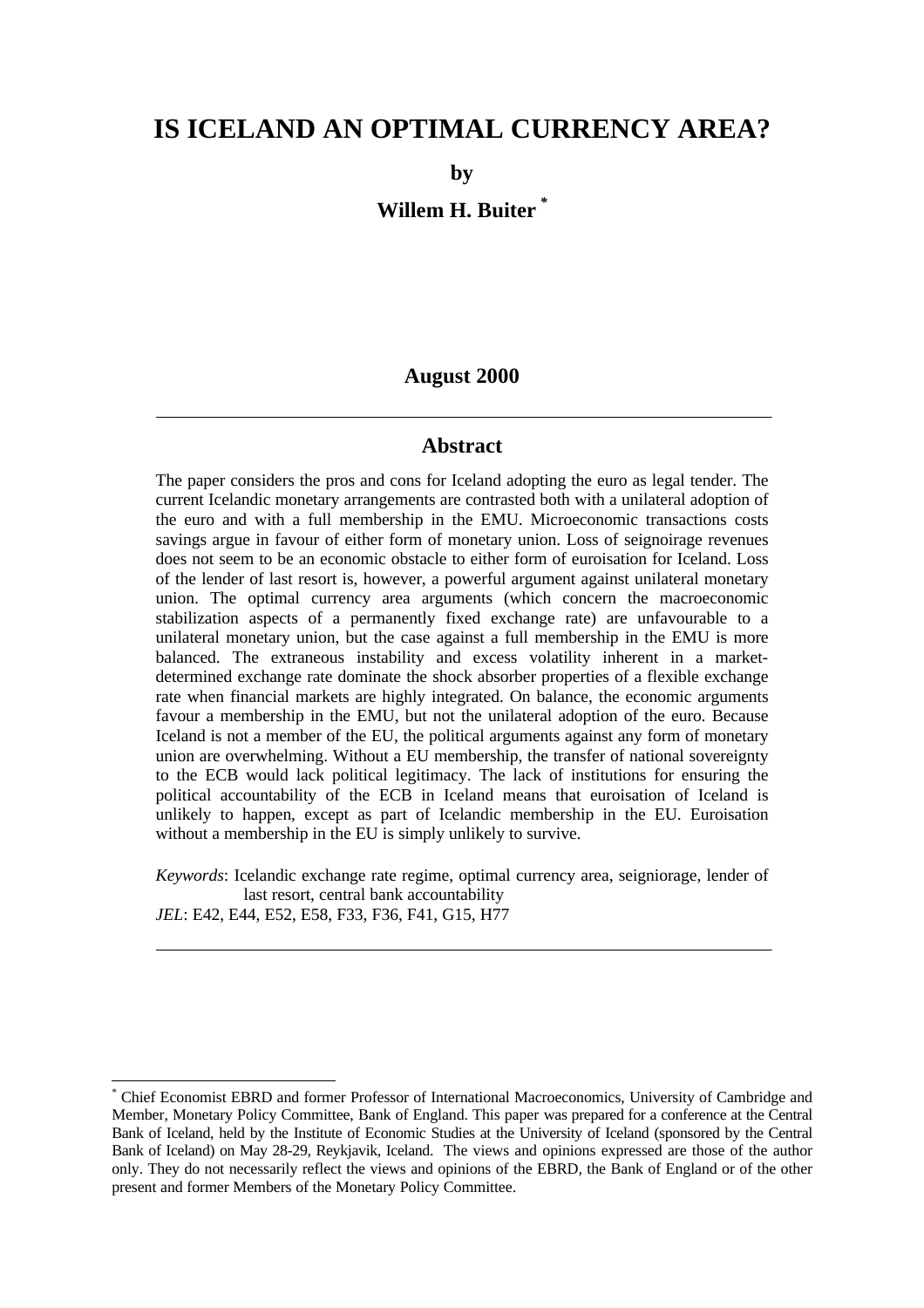# **IS ICELAND AN OPTIMAL CURRENCY AREA?**

**by**

**Willem H. Buiter** *\**

#### **August 2000**

#### **Abstract**

The paper considers the pros and cons for Iceland adopting the euro as legal tender. The current Icelandic monetary arrangements are contrasted both with a unilateral adoption of the euro and with a full membership in the EMU. Microeconomic transactions costs savings argue in favour of either form of monetary union. Loss of seignoirage revenues does not seem to be an economic obstacle to either form of euroisation for Iceland. Loss of the lender of last resort is, however, a powerful argument against unilateral monetary union. The optimal currency area arguments (which concern the macroeconomic stabilization aspects of a permanently fixed exchange rate) are unfavourable to a unilateral monetary union, but the case against a full membership in the EMU is more balanced. The extraneous instability and excess volatility inherent in a marketdetermined exchange rate dominate the shock absorber properties of a flexible exchange rate when financial markets are highly integrated. On balance, the economic arguments favour a membership in the EMU, but not the unilateral adoption of the euro. Because Iceland is not a member of the EU, the political arguments against any form of monetary union are overwhelming. Without a EU membership, the transfer of national sovereignty to the ECB would lack political legitimacy. The lack of institutions for ensuring the political accountability of the ECB in Iceland means that euroisation of Iceland is unlikely to happen, except as part of Icelandic membership in the EU. Euroisation without a membership in the EU is simply unlikely to survive.

*Keywords*: Icelandic exchange rate regime, optimal currency area, seigniorage, lender of last resort, central bank accountability *JEL*: E42, E44, E52, E58, F33, F36, F41, G15, H77

<sup>\*</sup> Chief Economist EBRD and former Professor of International Macroeconomics, University of Cambridge and Member, Monetary Policy Committee, Bank of England. This paper was prepared for a conference at the Central Bank of Iceland, held by the Institute of Economic Studies at the University of Iceland (sponsored by the Central Bank of Iceland) on May 28-29, Reykjavik, Iceland. The views and opinions expressed are those of the author only. They do not necessarily reflect the views and opinions of the EBRD, the Bank of England or of the other present and former Members of the Monetary Policy Committee.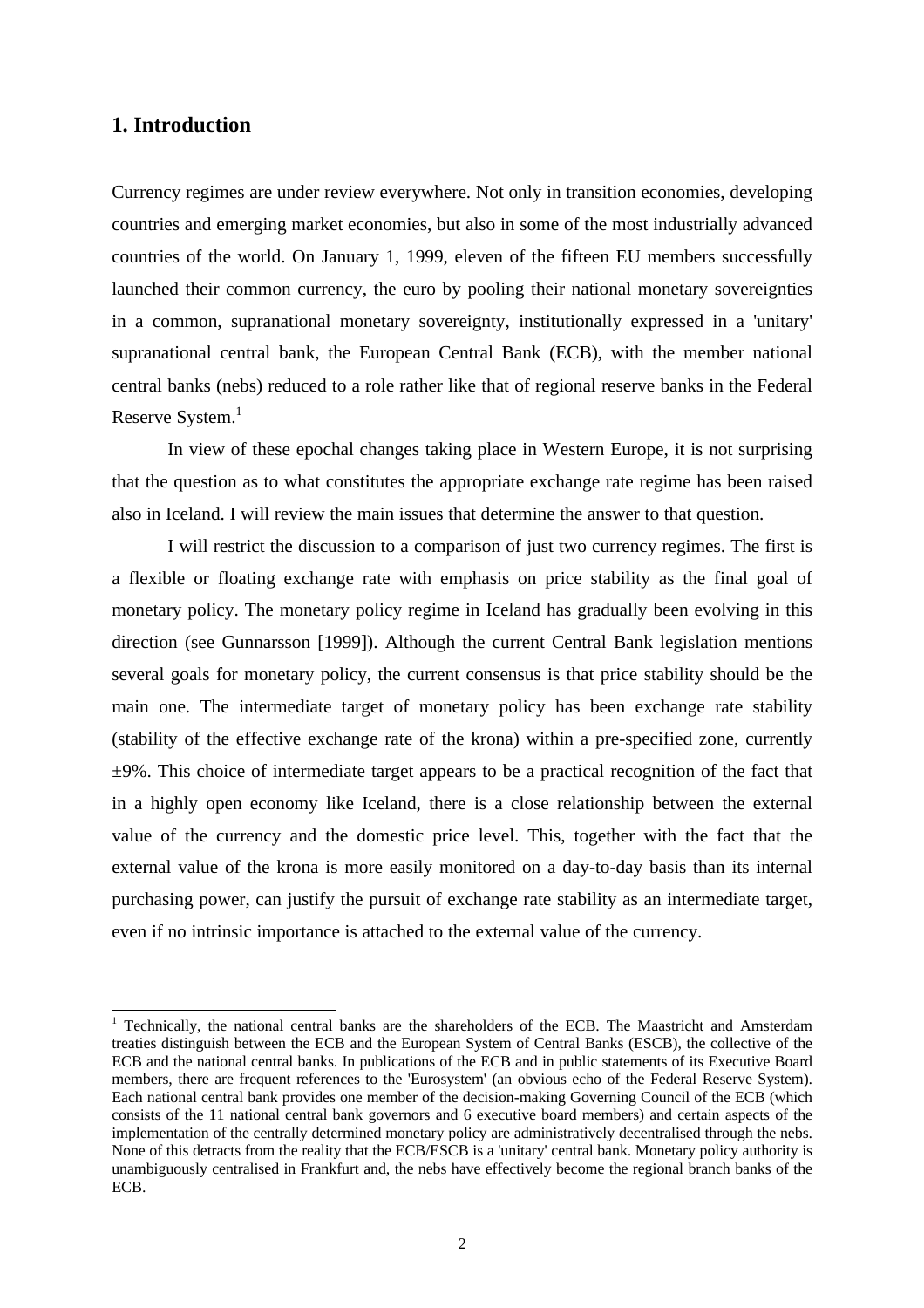# **1. Introduction**

 $\overline{a}$ 

Currency regimes are under review everywhere. Not only in transition economies, developing countries and emerging market economies, but also in some of the most industrially advanced countries of the world. On January 1, 1999, eleven of the fifteen EU members successfully launched their common currency, the euro by pooling their national monetary sovereignties in a common, supranational monetary sovereignty, institutionally expressed in a 'unitary' supranational central bank, the European Central Bank (ECB), with the member national central banks (nebs) reduced to a role rather like that of regional reserve banks in the Federal Reserve System.<sup>1</sup>

In view of these epochal changes taking place in Western Europe, it is not surprising that the question as to what constitutes the appropriate exchange rate regime has been raised also in Iceland. I will review the main issues that determine the answer to that question.

I will restrict the discussion to a comparison of just two currency regimes. The first is a flexible or floating exchange rate with emphasis on price stability as the final goal of monetary policy. The monetary policy regime in Iceland has gradually been evolving in this direction (see Gunnarsson [1999]). Although the current Central Bank legislation mentions several goals for monetary policy, the current consensus is that price stability should be the main one. The intermediate target of monetary policy has been exchange rate stability (stability of the effective exchange rate of the krona) within a pre-specified zone, currently  $\pm$ 9%. This choice of intermediate target appears to be a practical recognition of the fact that in a highly open economy like Iceland, there is a close relationship between the external value of the currency and the domestic price level. This, together with the fact that the external value of the krona is more easily monitored on a day-to-day basis than its internal purchasing power, can justify the pursuit of exchange rate stability as an intermediate target, even if no intrinsic importance is attached to the external value of the currency.

<sup>&</sup>lt;sup>1</sup> Technically, the national central banks are the shareholders of the ECB. The Maastricht and Amsterdam treaties distinguish between the ECB and the European System of Central Banks (ESCB), the collective of the ECB and the national central banks. In publications of the ECB and in public statements of its Executive Board members, there are frequent references to the 'Eurosystem' (an obvious echo of the Federal Reserve System). Each national central bank provides one member of the decision-making Governing Council of the ECB (which consists of the 11 national central bank governors and 6 executive board members) and certain aspects of the implementation of the centrally determined monetary policy are administratively decentralised through the nebs. None of this detracts from the reality that the ECB/ESCB is a 'unitary' central bank. Monetary policy authority is unambiguously centralised in Frankfurt and, the nebs have effectively become the regional branch banks of the ECB.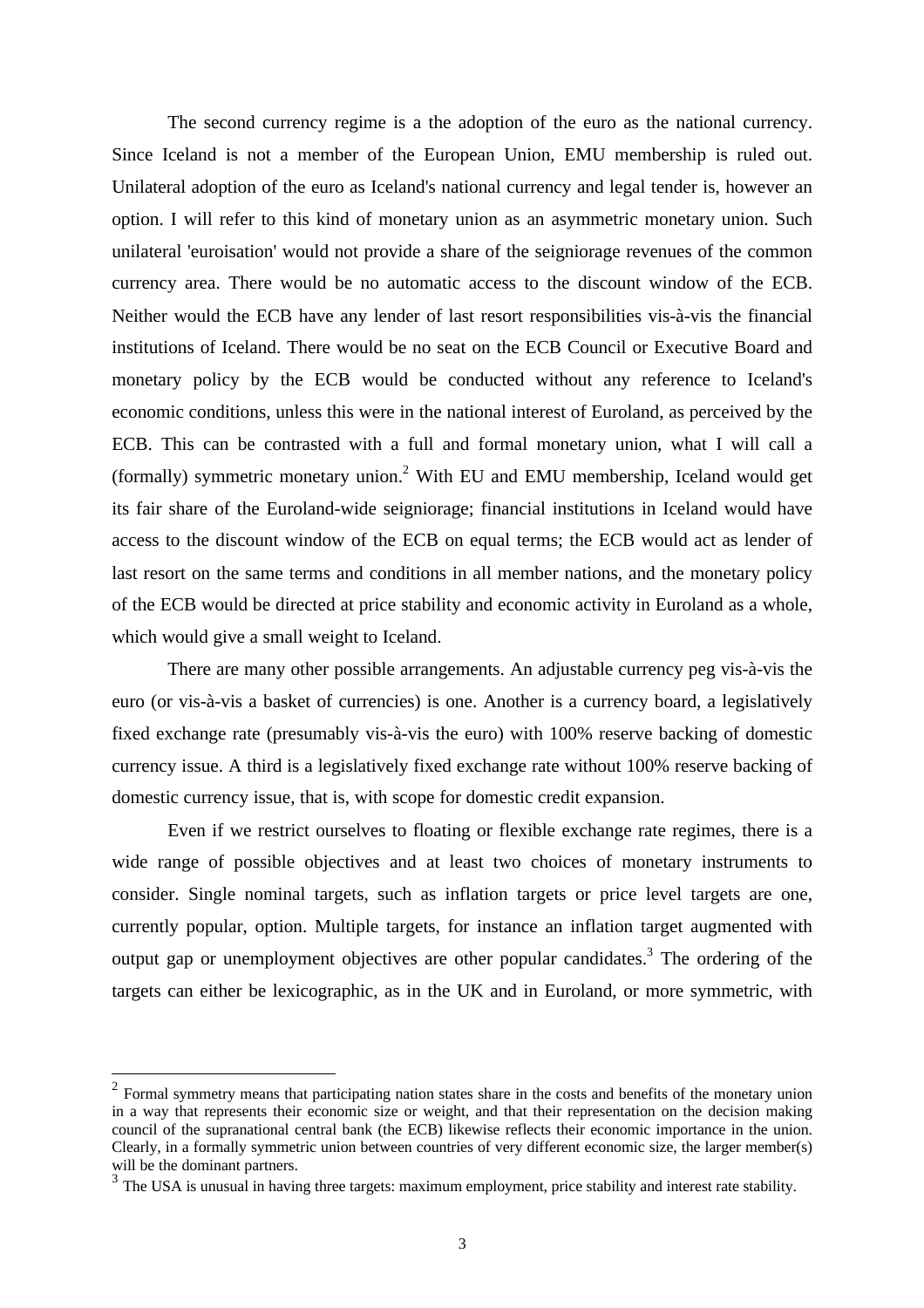The second currency regime is a the adoption of the euro as the national currency. Since Iceland is not a member of the European Union, EMU membership is ruled out. Unilateral adoption of the euro as Iceland's national currency and legal tender is, however an option. I will refer to this kind of monetary union as an asymmetric monetary union. Such unilateral 'euroisation' would not provide a share of the seigniorage revenues of the common currency area. There would be no automatic access to the discount window of the ECB. Neither would the ECB have any lender of last resort responsibilities vis-à-vis the financial institutions of Iceland. There would be no seat on the ECB Council or Executive Board and monetary policy by the ECB would be conducted without any reference to Iceland's economic conditions, unless this were in the national interest of Euroland, as perceived by the ECB. This can be contrasted with a full and formal monetary union, what I will call a (formally) symmetric monetary union.<sup>2</sup> With EU and EMU membership, Iceland would get its fair share of the Euroland-wide seigniorage; financial institutions in Iceland would have access to the discount window of the ECB on equal terms; the ECB would act as lender of last resort on the same terms and conditions in all member nations, and the monetary policy of the ECB would be directed at price stability and economic activity in Euroland as a whole, which would give a small weight to Iceland.

There are many other possible arrangements. An adjustable currency peg vis-à-vis the euro (or vis-à-vis a basket of currencies) is one. Another is a currency board, a legislatively fixed exchange rate (presumably vis-à-vis the euro) with 100% reserve backing of domestic currency issue. A third is a legislatively fixed exchange rate without 100% reserve backing of domestic currency issue, that is, with scope for domestic credit expansion.

Even if we restrict ourselves to floating or flexible exchange rate regimes, there is a wide range of possible objectives and at least two choices of monetary instruments to consider. Single nominal targets, such as inflation targets or price level targets are one, currently popular, option. Multiple targets, for instance an inflation target augmented with output gap or unemployment objectives are other popular candidates.<sup>3</sup> The ordering of the targets can either be lexicographic, as in the UK and in Euroland, or more symmetric, with

<sup>&</sup>lt;sup>2</sup> Formal symmetry means that participating nation states share in the costs and benefits of the monetary union in a way that represents their economic size or weight, and that their representation on the decision making council of the supranational central bank (the ECB) likewise reflects their economic importance in the union. Clearly, in a formally symmetric union between countries of very different economic size, the larger member(s) will be the dominant partners.

 $3$  The USA is unusual in having three targets: maximum employment, price stability and interest rate stability.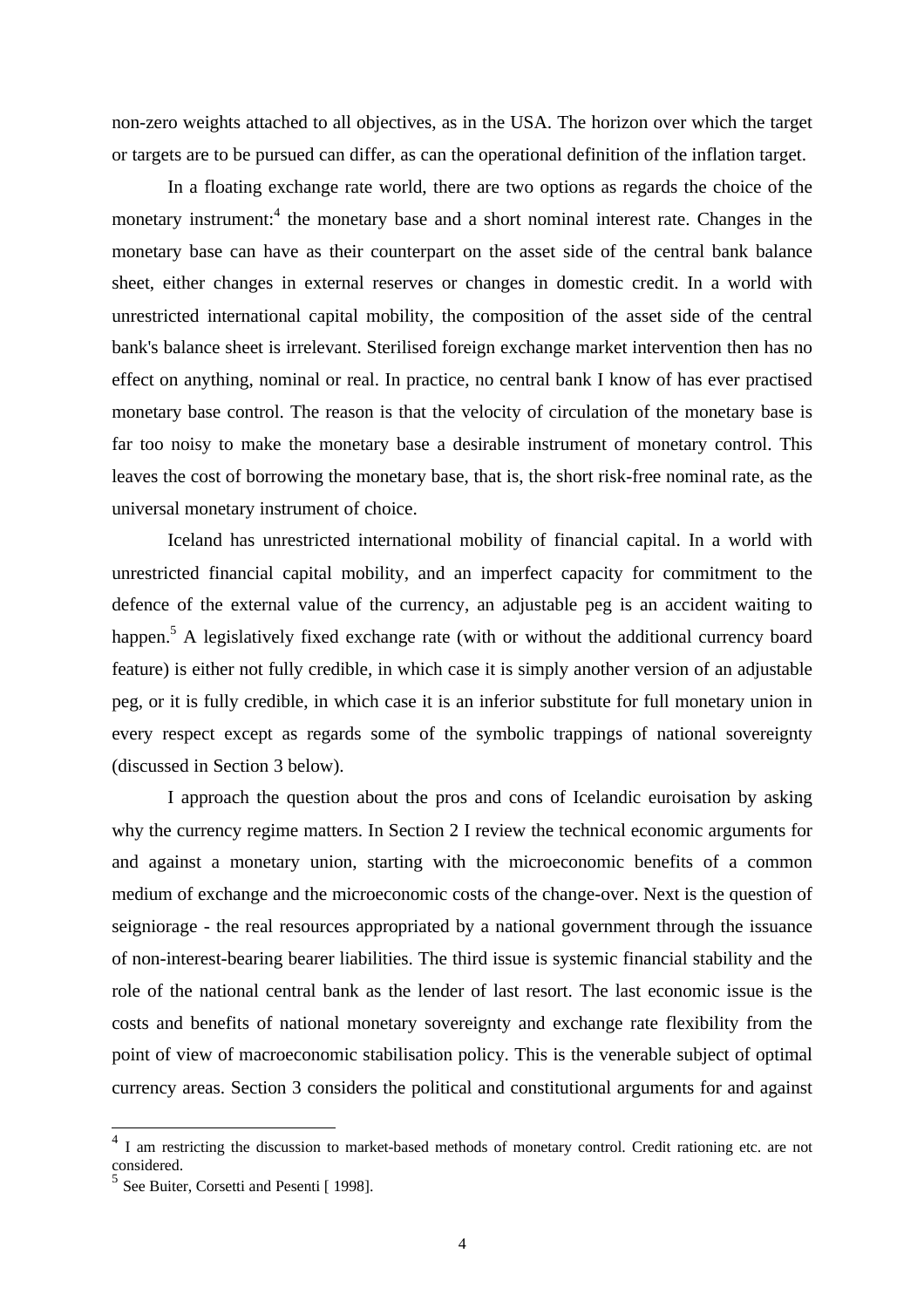non-zero weights attached to all objectives, as in the USA. The horizon over which the target or targets are to be pursued can differ, as can the operational definition of the inflation target.

In a floating exchange rate world, there are two options as regards the choice of the monetary instrument:<sup>4</sup> the monetary base and a short nominal interest rate. Changes in the monetary base can have as their counterpart on the asset side of the central bank balance sheet, either changes in external reserves or changes in domestic credit. In a world with unrestricted international capital mobility, the composition of the asset side of the central bank's balance sheet is irrelevant. Sterilised foreign exchange market intervention then has no effect on anything, nominal or real. In practice, no central bank I know of has ever practised monetary base control. The reason is that the velocity of circulation of the monetary base is far too noisy to make the monetary base a desirable instrument of monetary control. This leaves the cost of borrowing the monetary base, that is, the short risk-free nominal rate, as the universal monetary instrument of choice.

Iceland has unrestricted international mobility of financial capital. In a world with unrestricted financial capital mobility, and an imperfect capacity for commitment to the defence of the external value of the currency, an adjustable peg is an accident waiting to happen.<sup>5</sup> A legislatively fixed exchange rate (with or without the additional currency board feature) is either not fully credible, in which case it is simply another version of an adjustable peg, or it is fully credible, in which case it is an inferior substitute for full monetary union in every respect except as regards some of the symbolic trappings of national sovereignty (discussed in Section 3 below).

I approach the question about the pros and cons of Icelandic euroisation by asking why the currency regime matters. In Section 2 I review the technical economic arguments for and against a monetary union, starting with the microeconomic benefits of a common medium of exchange and the microeconomic costs of the change-over. Next is the question of seigniorage - the real resources appropriated by a national government through the issuance of non-interest-bearing bearer liabilities. The third issue is systemic financial stability and the role of the national central bank as the lender of last resort. The last economic issue is the costs and benefits of national monetary sovereignty and exchange rate flexibility from the point of view of macroeconomic stabilisation policy. This is the venerable subject of optimal currency areas. Section 3 considers the political and constitutional arguments for and against

<sup>&</sup>lt;sup>4</sup> I am restricting the discussion to market-based methods of monetary control. Credit rationing etc. are not considered.

<sup>&</sup>lt;sup>5</sup> See Buiter, Corsetti and Pesenti [ 1998].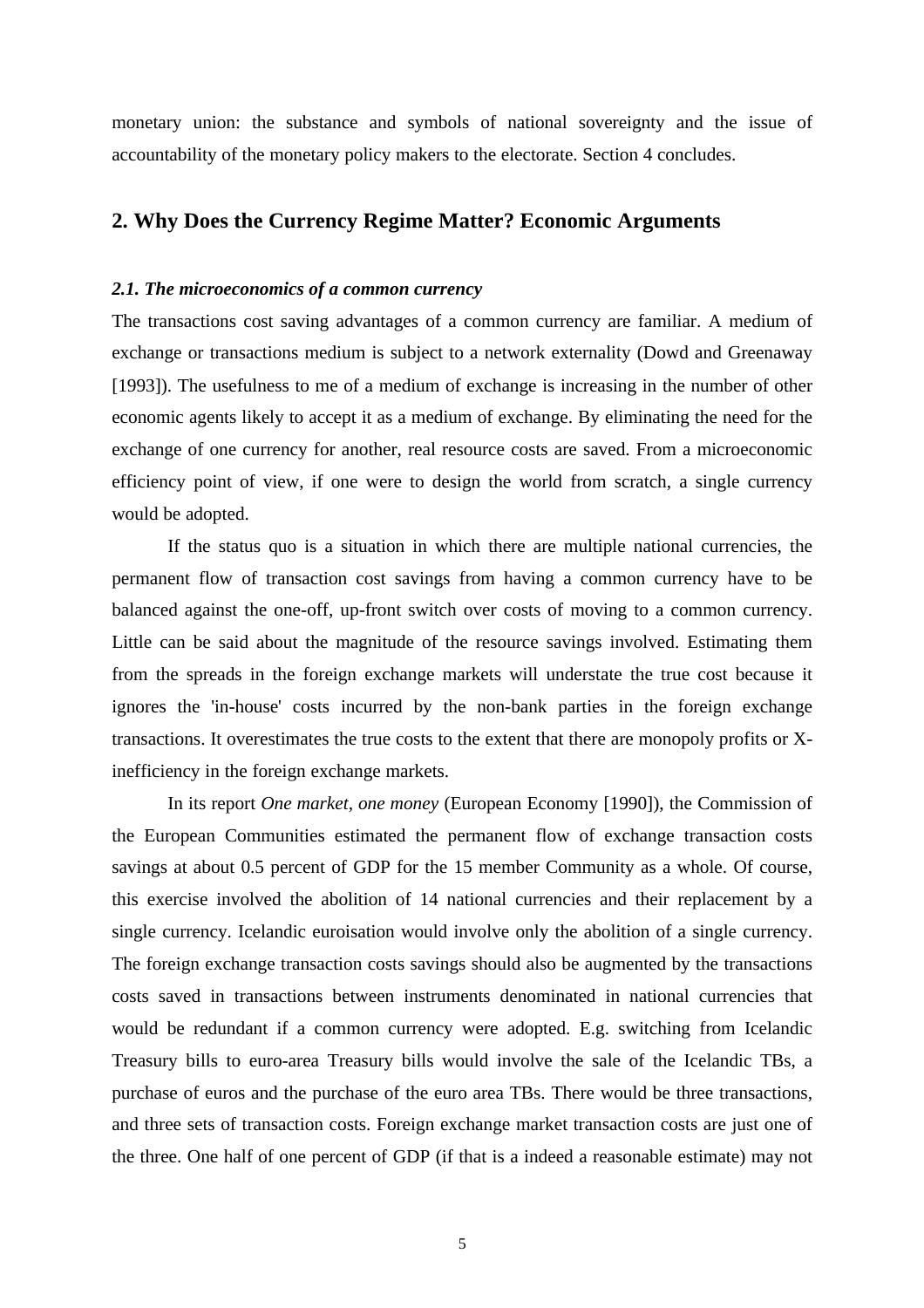monetary union: the substance and symbols of national sovereignty and the issue of accountability of the monetary policy makers to the electorate. Section 4 concludes.

## **2. Why Does the Currency Regime Matter? Economic Arguments**

## *2.1. The microeconomics of a common currency*

The transactions cost saving advantages of a common currency are familiar. A medium of exchange or transactions medium is subject to a network externality (Dowd and Greenaway [1993]). The usefulness to me of a medium of exchange is increasing in the number of other economic agents likely to accept it as a medium of exchange. By eliminating the need for the exchange of one currency for another, real resource costs are saved. From a microeconomic efficiency point of view, if one were to design the world from scratch, a single currency would be adopted.

If the status quo is a situation in which there are multiple national currencies, the permanent flow of transaction cost savings from having a common currency have to be balanced against the one-off, up-front switch over costs of moving to a common currency. Little can be said about the magnitude of the resource savings involved. Estimating them from the spreads in the foreign exchange markets will understate the true cost because it ignores the 'in-house' costs incurred by the non-bank parties in the foreign exchange transactions. It overestimates the true costs to the extent that there are monopoly profits or Xinefficiency in the foreign exchange markets.

In its report *One market, one money* (European Economy [1990]), the Commission of the European Communities estimated the permanent flow of exchange transaction costs savings at about 0.5 percent of GDP for the 15 member Community as a whole. Of course, this exercise involved the abolition of 14 national currencies and their replacement by a single currency. Icelandic euroisation would involve only the abolition of a single currency. The foreign exchange transaction costs savings should also be augmented by the transactions costs saved in transactions between instruments denominated in national currencies that would be redundant if a common currency were adopted. E.g. switching from Icelandic Treasury bills to euro-area Treasury bills would involve the sale of the Icelandic TBs, a purchase of euros and the purchase of the euro area TBs. There would be three transactions, and three sets of transaction costs. Foreign exchange market transaction costs are just one of the three. One half of one percent of GDP (if that is a indeed a reasonable estimate) may not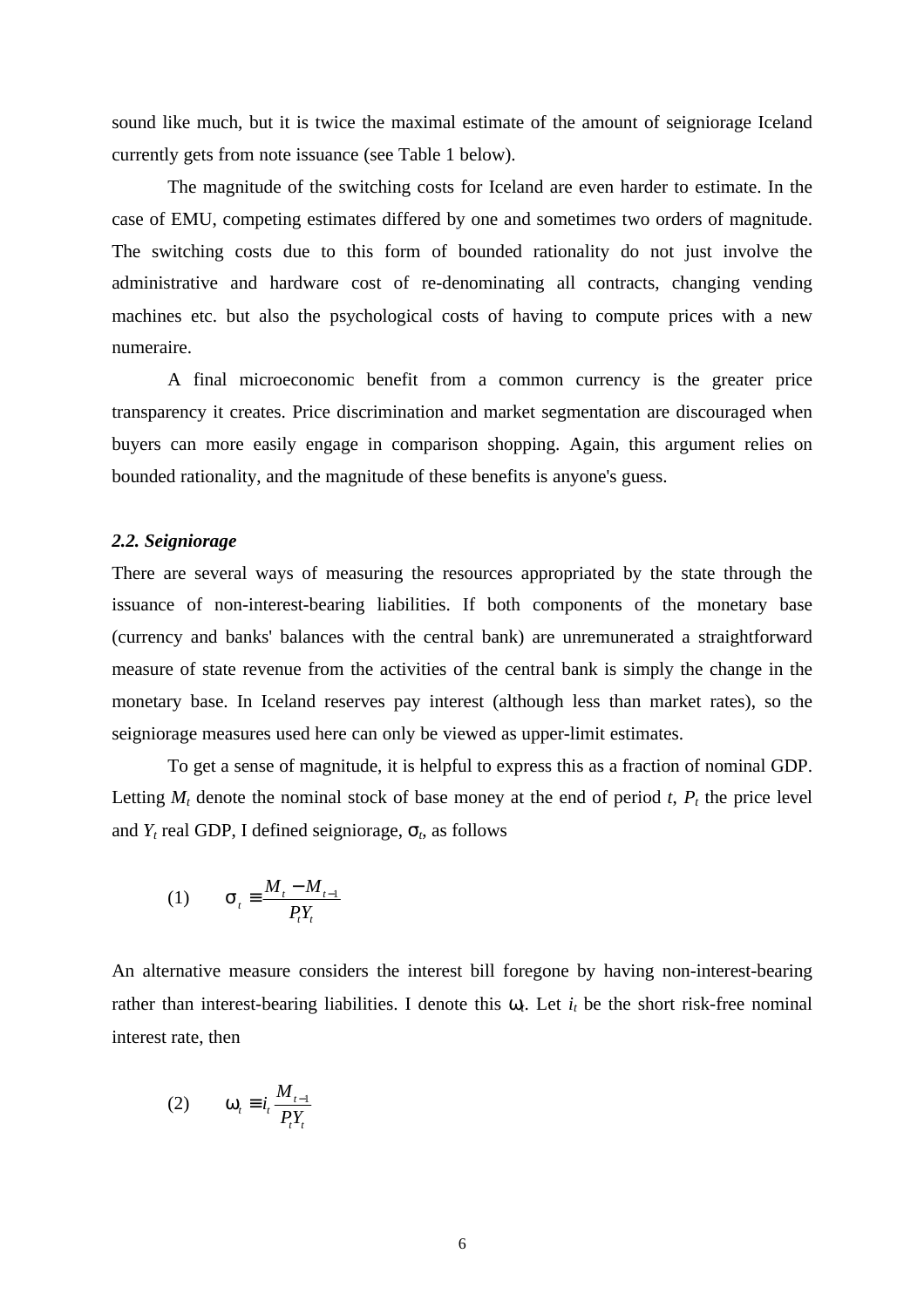sound like much, but it is twice the maximal estimate of the amount of seigniorage Iceland currently gets from note issuance (see Table 1 below).

The magnitude of the switching costs for Iceland are even harder to estimate. In the case of EMU, competing estimates differed by one and sometimes two orders of magnitude. The switching costs due to this form of bounded rationality do not just involve the administrative and hardware cost of re-denominating all contracts, changing vending machines etc. but also the psychological costs of having to compute prices with a new numeraire.

A final microeconomic benefit from a common currency is the greater price transparency it creates. Price discrimination and market segmentation are discouraged when buyers can more easily engage in comparison shopping. Again, this argument relies on bounded rationality, and the magnitude of these benefits is anyone's guess.

#### *2.2. Seigniorage*

There are several ways of measuring the resources appropriated by the state through the issuance of non-interest-bearing liabilities. If both components of the monetary base (currency and banks' balances with the central bank) are unremunerated a straightforward measure of state revenue from the activities of the central bank is simply the change in the monetary base. In Iceland reserves pay interest (although less than market rates), so the seigniorage measures used here can only be viewed as upper-limit estimates.

To get a sense of magnitude, it is helpful to express this as a fraction of nominal GDP. Letting  $M_t$  denote the nominal stock of base money at the end of period  $t$ ,  $P_t$  the price level and  $Y_t$  real GDP, I defined seigniorage,  $S_t$ , as follows

$$
(1) \qquad \boldsymbol{S}_{t} \equiv \frac{M_{t} - M_{t-1}}{P_{t} Y_{t}}
$$

An alternative measure considers the interest bill foregone by having non-interest-bearing rather than interest-bearing liabilities. I denote this  $w_t$ . Let  $i_t$  be the short risk-free nominal interest rate, then

$$
(2) \qquad \mathbf{W}_{t} \equiv i_{t} \frac{M_{t-1}}{P_{t} Y_{t}}
$$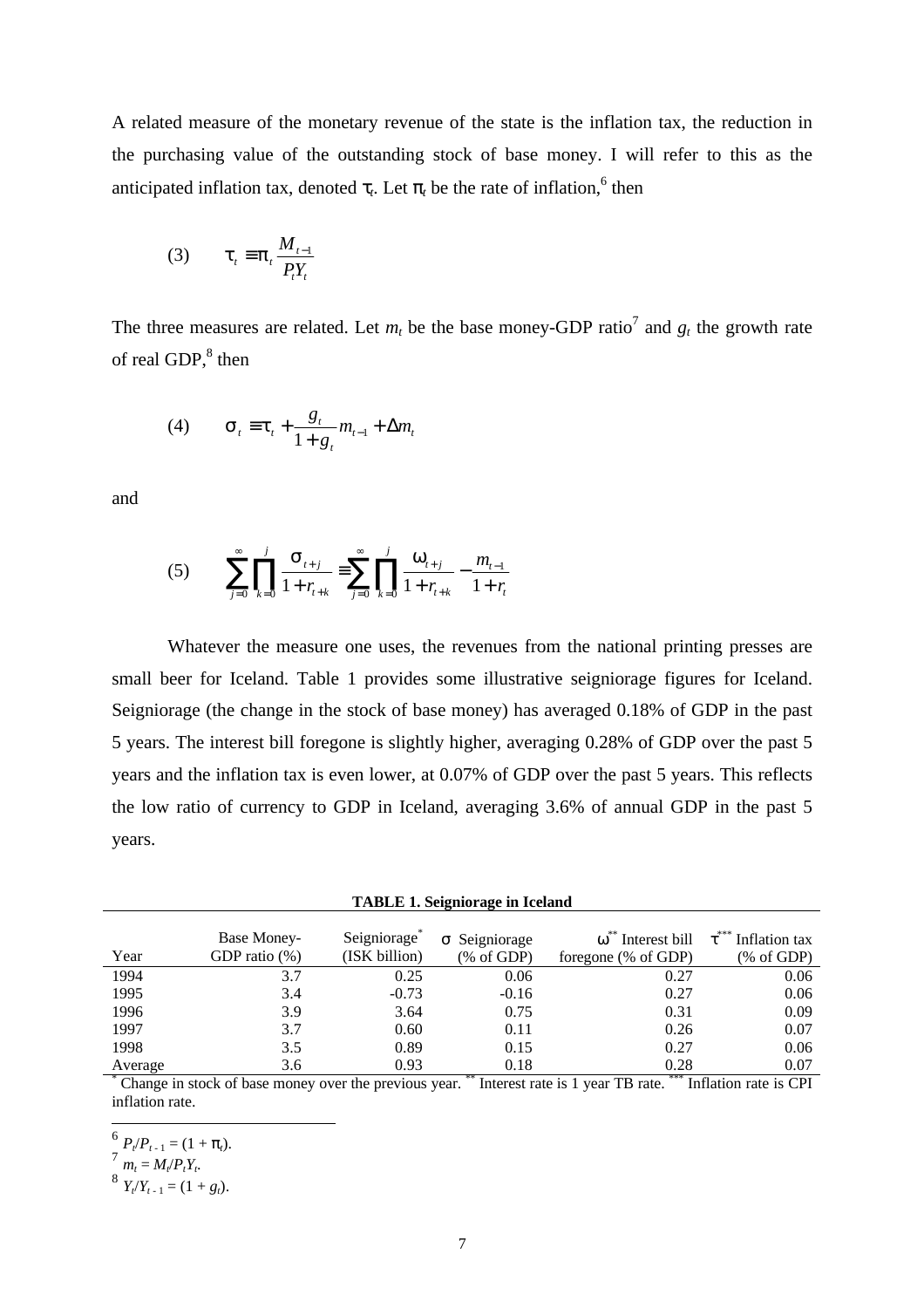A related measure of the monetary revenue of the state is the inflation tax, the reduction in the purchasing value of the outstanding stock of base money. I will refer to this as the anticipated inflation tax, denoted  $t_t$ . Let  $p_t$  be the rate of inflation,  $\delta$  then

$$
(3) \t tt \equiv pt \frac{M_{t-1}}{P_t Y_t}
$$

The three measures are related. Let  $m_t$  be the base money-GDP ratio<sup>7</sup> and  $g_t$  the growth rate of real GDP,<sup>8</sup> then

$$
(4) \qquad \boldsymbol{S}_{t} \equiv \boldsymbol{t}_{t} + \frac{g_{t}}{1 + g_{t}} m_{t-1} + \Delta m_{t}
$$

and

(5) 
$$
\sum_{j=0}^{\infty} \prod_{k=0}^{j} \frac{S_{t+j}}{1+r_{t+k}} = \sum_{j=0}^{\infty} \prod_{k=0}^{j} \frac{W_{t+j}}{1+r_{t+k}} - \frac{m_{t-1}}{1+r_{t}}
$$

Whatever the measure one uses, the revenues from the national printing presses are small beer for Iceland. Table 1 provides some illustrative seigniorage figures for Iceland. Seigniorage (the change in the stock of base money) has averaged 0.18% of GDP in the past 5 years. The interest bill foregone is slightly higher, averaging 0.28% of GDP over the past 5 years and the inflation tax is even lower, at 0.07% of GDP over the past 5 years. This reflects the low ratio of currency to GDP in Iceland, averaging 3.6% of annual GDP in the past 5 years.

|  |  |  |  |  | <b>TABLE 1. Seigniorage in Iceland</b> |  |  |  |
|--|--|--|--|--|----------------------------------------|--|--|--|
|--|--|--|--|--|----------------------------------------|--|--|--|

|         | Base Money-      | Seigniorage <sup>®</sup> | <i>s</i> Seigniorage | $\mathbf{w}^{\text{T}}$ Interest bill | Inflation tax |
|---------|------------------|--------------------------|----------------------|---------------------------------------|---------------|
| Year    | GDP ratio $(\%)$ | (ISK billion)            | % of GDP             | foregone (% of GDP)                   | % of GDP      |
| 1994    | 3.7              | 0.25                     | 0.06                 | 0.27                                  | 0.06          |
| 1995    | 3.4              | $-0.73$                  | $-0.16$              | 0.27                                  | 0.06          |
| 1996    | 3.9              | 3.64                     | 0.75                 | 0.31                                  | 0.09          |
| 1997    | 3.7              | 0.60                     | 0.11                 | 0.26                                  | 0.07          |
| 1998    | 3.5              | 0.89                     | 0.15                 | 0.27                                  | 0.06          |
| Average | 3.6              | 0.93                     | 0.18                 | 0.28                                  | 0.07          |

\* Change in stock of base money over the previous year.<sup>\*\*</sup> Interest rate is 1 year TB rate.<sup>\*\*\*</sup> Inflation rate is CPI inflation rate.

 $^{6}P_{t}/P_{t-1} = (1 + \mathbf{p}_{t}).$ 

 $T_{m_t} = M_t/P_tY_t$ 

 $8 Y_t/Y_{t-1} = (1 + g_t).$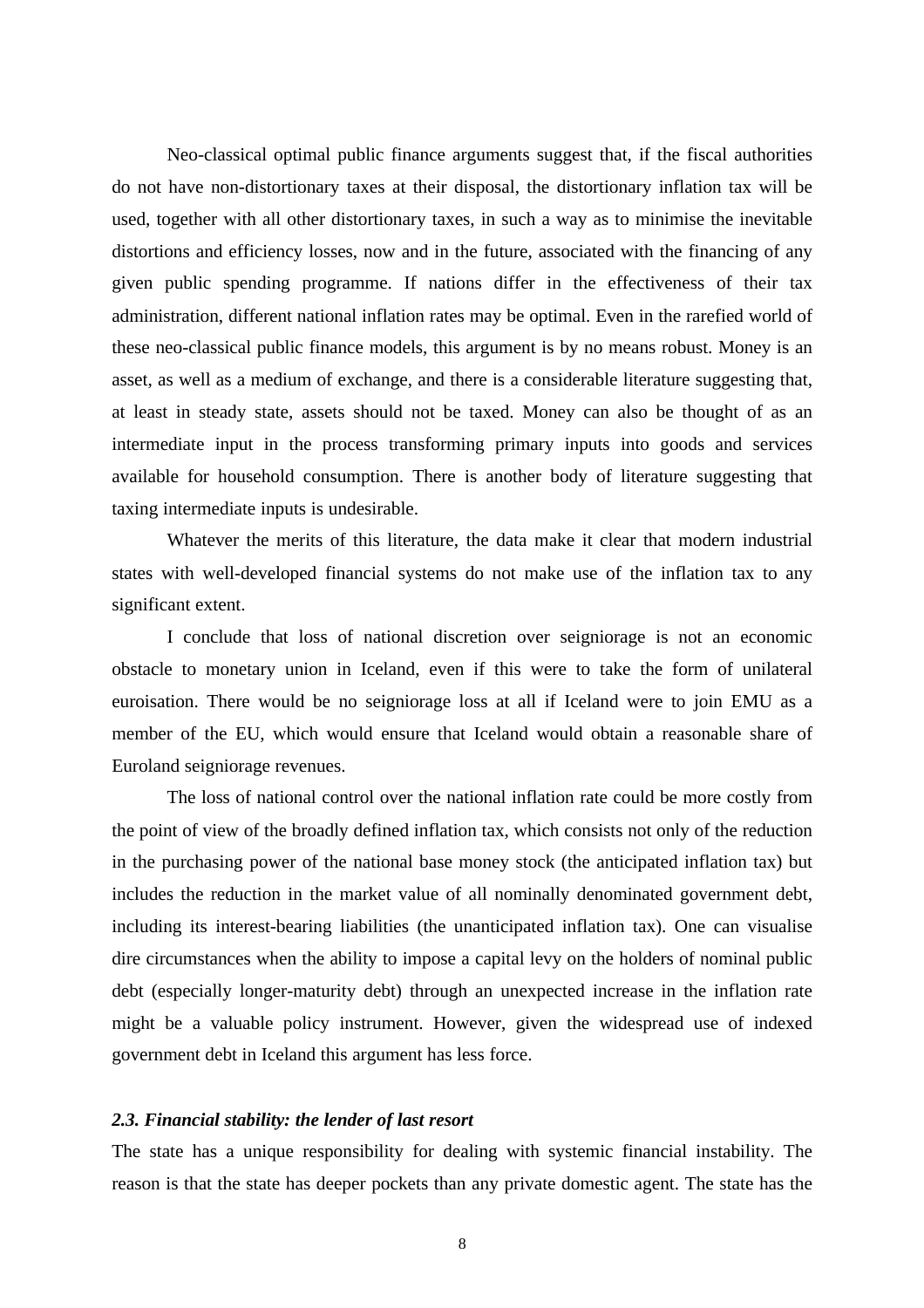Neo-classical optimal public finance arguments suggest that, if the fiscal authorities do not have non-distortionary taxes at their disposal, the distortionary inflation tax will be used, together with all other distortionary taxes, in such a way as to minimise the inevitable distortions and efficiency losses, now and in the future, associated with the financing of any given public spending programme. If nations differ in the effectiveness of their tax administration, different national inflation rates may be optimal. Even in the rarefied world of these neo-classical public finance models, this argument is by no means robust. Money is an asset, as well as a medium of exchange, and there is a considerable literature suggesting that, at least in steady state, assets should not be taxed. Money can also be thought of as an intermediate input in the process transforming primary inputs into goods and services available for household consumption. There is another body of literature suggesting that taxing intermediate inputs is undesirable.

Whatever the merits of this literature, the data make it clear that modern industrial states with well-developed financial systems do not make use of the inflation tax to any significant extent.

I conclude that loss of national discretion over seigniorage is not an economic obstacle to monetary union in Iceland, even if this were to take the form of unilateral euroisation. There would be no seigniorage loss at all if Iceland were to join EMU as a member of the EU, which would ensure that Iceland would obtain a reasonable share of Euroland seigniorage revenues.

The loss of national control over the national inflation rate could be more costly from the point of view of the broadly defined inflation tax, which consists not only of the reduction in the purchasing power of the national base money stock (the anticipated inflation tax) but includes the reduction in the market value of all nominally denominated government debt, including its interest-bearing liabilities (the unanticipated inflation tax). One can visualise dire circumstances when the ability to impose a capital levy on the holders of nominal public debt (especially longer-maturity debt) through an unexpected increase in the inflation rate might be a valuable policy instrument. However, given the widespread use of indexed government debt in Iceland this argument has less force.

#### *2.3. Financial stability: the lender of last resort*

The state has a unique responsibility for dealing with systemic financial instability. The reason is that the state has deeper pockets than any private domestic agent. The state has the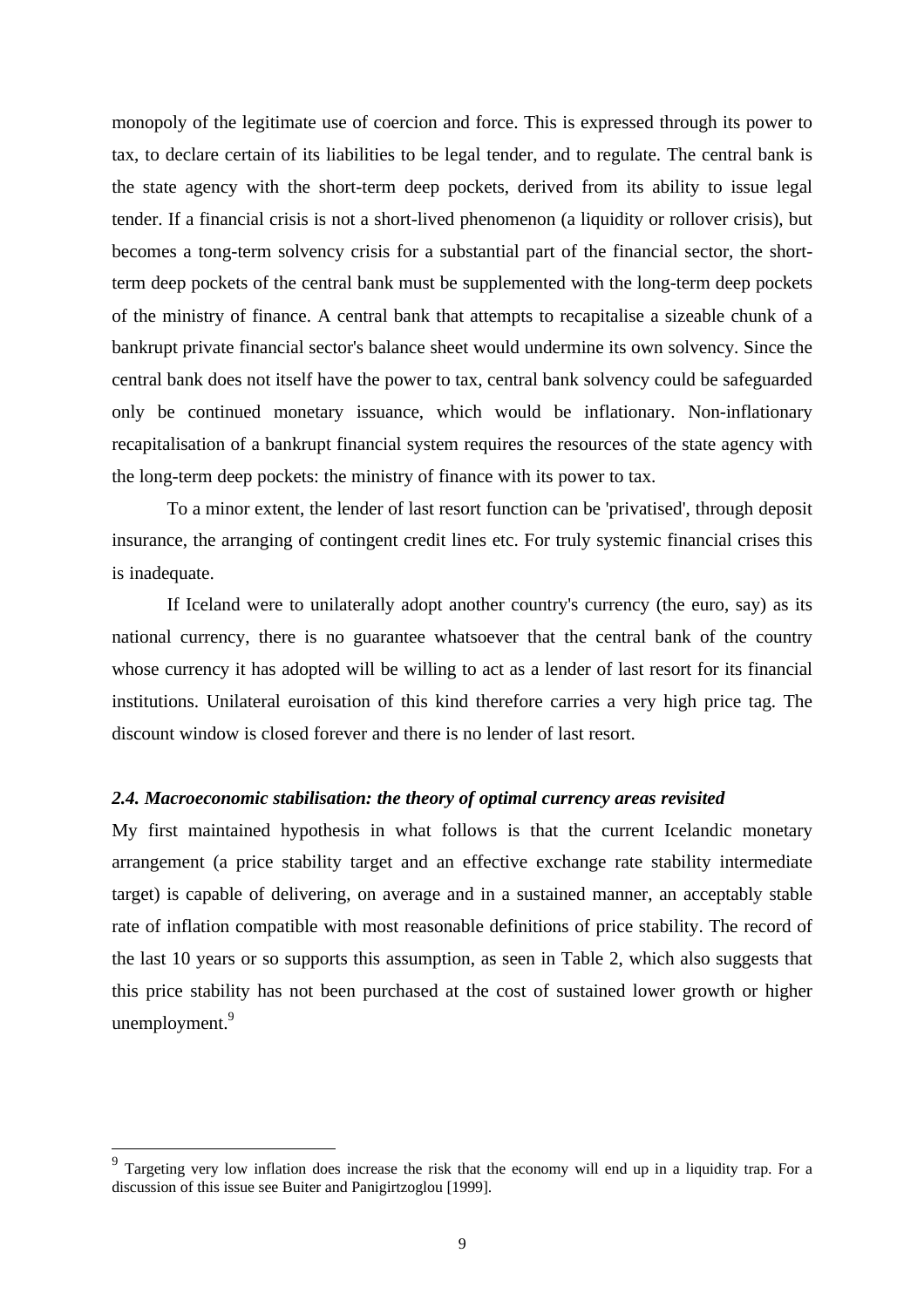monopoly of the legitimate use of coercion and force. This is expressed through its power to tax, to declare certain of its liabilities to be legal tender, and to regulate. The central bank is the state agency with the short-term deep pockets, derived from its ability to issue legal tender. If a financial crisis is not a short-lived phenomenon (a liquidity or rollover crisis), but becomes a tong-term solvency crisis for a substantial part of the financial sector, the shortterm deep pockets of the central bank must be supplemented with the long-term deep pockets of the ministry of finance. A central bank that attempts to recapitalise a sizeable chunk of a bankrupt private financial sector's balance sheet would undermine its own solvency. Since the central bank does not itself have the power to tax, central bank solvency could be safeguarded only be continued monetary issuance, which would be inflationary. Non-inflationary recapitalisation of a bankrupt financial system requires the resources of the state agency with the long-term deep pockets: the ministry of finance with its power to tax.

To a minor extent, the lender of last resort function can be 'privatised', through deposit insurance, the arranging of contingent credit lines etc. For truly systemic financial crises this is inadequate.

If Iceland were to unilaterally adopt another country's currency (the euro, say) as its national currency, there is no guarantee whatsoever that the central bank of the country whose currency it has adopted will be willing to act as a lender of last resort for its financial institutions. Unilateral euroisation of this kind therefore carries a very high price tag. The discount window is closed forever and there is no lender of last resort.

#### *2.4. Macroeconomic stabilisation: the theory of optimal currency areas revisited*

My first maintained hypothesis in what follows is that the current Icelandic monetary arrangement (a price stability target and an effective exchange rate stability intermediate target) is capable of delivering, on average and in a sustained manner, an acceptably stable rate of inflation compatible with most reasonable definitions of price stability. The record of the last 10 years or so supports this assumption, as seen in Table 2, which also suggests that this price stability has not been purchased at the cost of sustained lower growth or higher unemployment.<sup>9</sup>

<sup>9</sup> Targeting very low inflation does increase the risk that the economy will end up in a liquidity trap. For a discussion of this issue see Buiter and Panigirtzoglou [1999].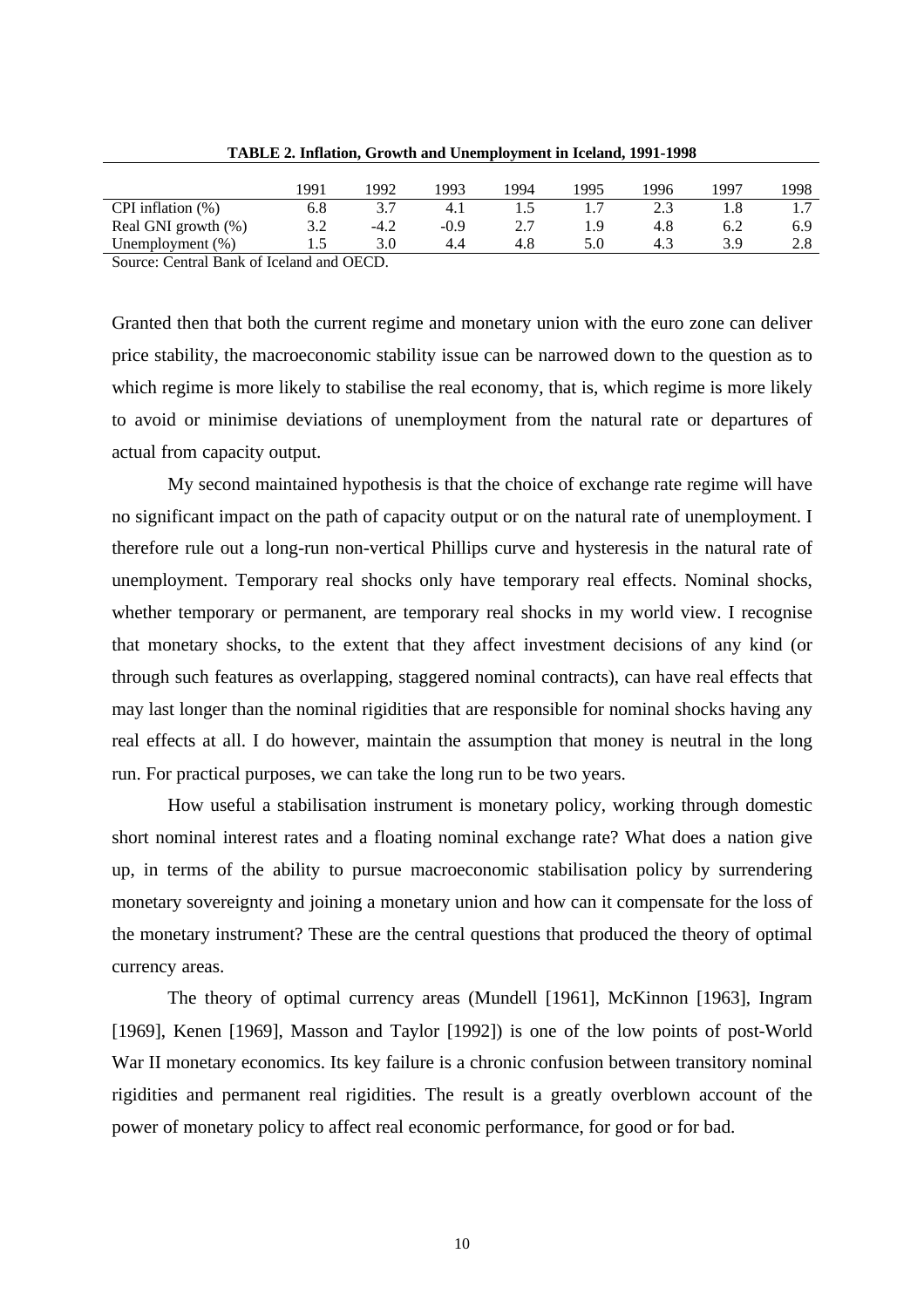|                                               | 1991  | '992   | 1993   | 1994         | 1995      | 1996 | 1997 | 1998 |
|-----------------------------------------------|-------|--------|--------|--------------|-----------|------|------|------|
| CPI inflation $(\%)$                          | 6.8   |        | 4.1    | ر. ر         | <b>1.</b> | 2.3  | 1.ð  |      |
| Real GNI growth (%)                           | ے . د | $-4.2$ | $-0.9$ | <u>، ، ،</u> | 1.9       | 4.8  | 6.2  | 6.9  |
| Unemployment $(\%)$                           | ن د   |        | 4.4    | 4.8          |           | 4.3  | 3.9  | 2.8  |
| $\sim$ $\sim$<br>$-$<br>$\sim$<br>____<br>$-$ |       |        |        |              |           |      |      |      |

**TABLE 2. Inflation, Growth and Unemployment in Iceland, 1991-1998**

Source: Central Bank of Iceland and OECD.

Granted then that both the current regime and monetary union with the euro zone can deliver price stability, the macroeconomic stability issue can be narrowed down to the question as to which regime is more likely to stabilise the real economy, that is, which regime is more likely to avoid or minimise deviations of unemployment from the natural rate or departures of actual from capacity output.

My second maintained hypothesis is that the choice of exchange rate regime will have no significant impact on the path of capacity output or on the natural rate of unemployment. I therefore rule out a long-run non-vertical Phillips curve and hysteresis in the natural rate of unemployment. Temporary real shocks only have temporary real effects. Nominal shocks, whether temporary or permanent, are temporary real shocks in my world view. I recognise that monetary shocks, to the extent that they affect investment decisions of any kind (or through such features as overlapping, staggered nominal contracts), can have real effects that may last longer than the nominal rigidities that are responsible for nominal shocks having any real effects at all. I do however, maintain the assumption that money is neutral in the long run. For practical purposes, we can take the long run to be two years.

How useful a stabilisation instrument is monetary policy, working through domestic short nominal interest rates and a floating nominal exchange rate? What does a nation give up, in terms of the ability to pursue macroeconomic stabilisation policy by surrendering monetary sovereignty and joining a monetary union and how can it compensate for the loss of the monetary instrument? These are the central questions that produced the theory of optimal currency areas.

The theory of optimal currency areas (Mundell [1961], McKinnon [1963], Ingram [1969], Kenen [1969], Masson and Taylor [1992]) is one of the low points of post-World War II monetary economics. Its key failure is a chronic confusion between transitory nominal rigidities and permanent real rigidities. The result is a greatly overblown account of the power of monetary policy to affect real economic performance, for good or for bad.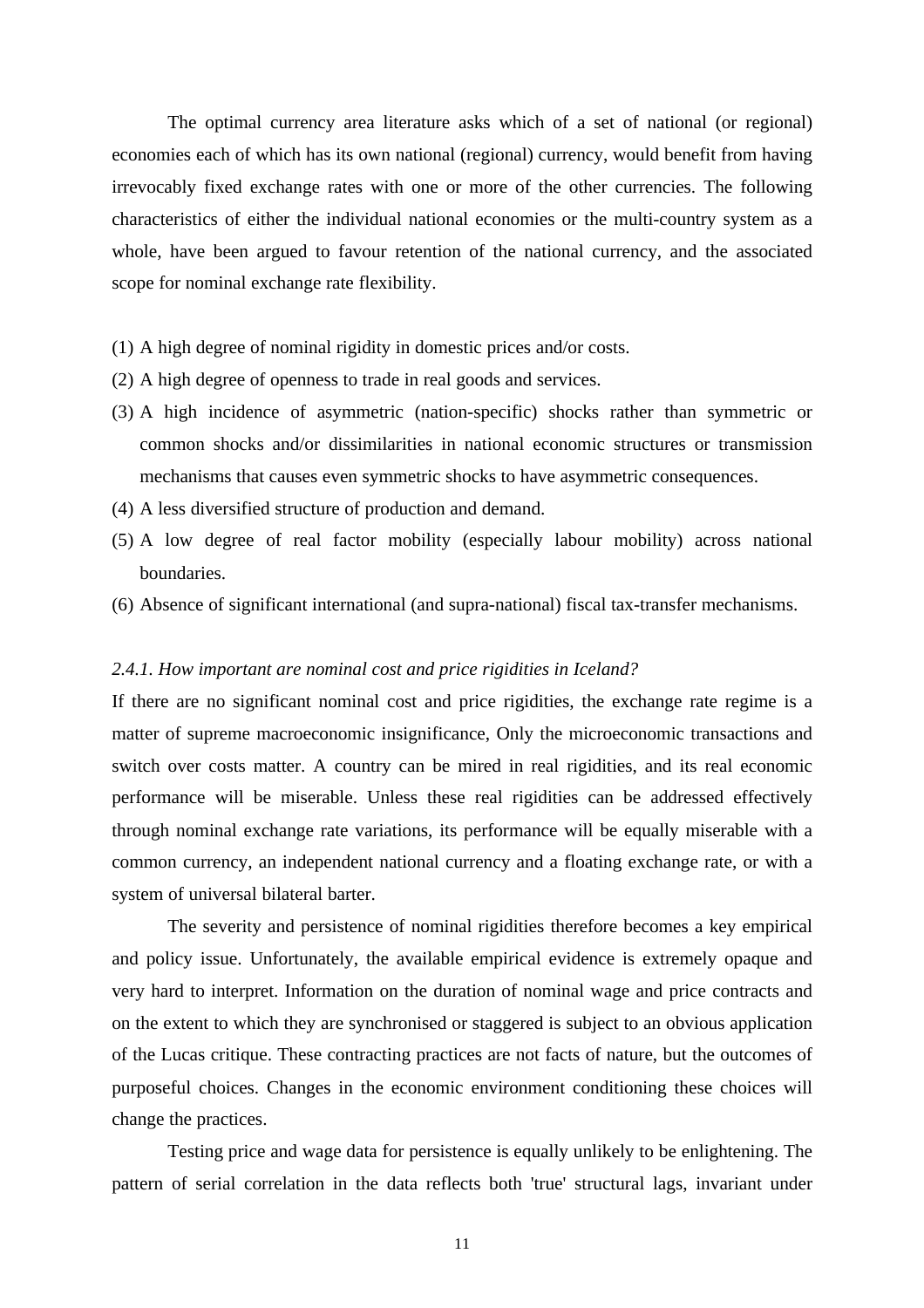The optimal currency area literature asks which of a set of national (or regional) economies each of which has its own national (regional) currency, would benefit from having irrevocably fixed exchange rates with one or more of the other currencies. The following characteristics of either the individual national economies or the multi-country system as a whole, have been argued to favour retention of the national currency, and the associated scope for nominal exchange rate flexibility.

- (1) A high degree of nominal rigidity in domestic prices and/or costs.
- (2) A high degree of openness to trade in real goods and services.
- (3) A high incidence of asymmetric (nation-specific) shocks rather than symmetric or common shocks and/or dissimilarities in national economic structures or transmission mechanisms that causes even symmetric shocks to have asymmetric consequences.
- (4) A less diversified structure of production and demand.
- (5) A low degree of real factor mobility (especially labour mobility) across national boundaries.
- (6) Absence of significant international (and supra-national) fiscal tax-transfer mechanisms.

#### *2.4.1. How important are nominal cost and price rigidities in Iceland?*

If there are no significant nominal cost and price rigidities, the exchange rate regime is a matter of supreme macroeconomic insignificance, Only the microeconomic transactions and switch over costs matter. A country can be mired in real rigidities, and its real economic performance will be miserable. Unless these real rigidities can be addressed effectively through nominal exchange rate variations, its performance will be equally miserable with a common currency, an independent national currency and a floating exchange rate, or with a system of universal bilateral barter.

The severity and persistence of nominal rigidities therefore becomes a key empirical and policy issue. Unfortunately, the available empirical evidence is extremely opaque and very hard to interpret. Information on the duration of nominal wage and price contracts and on the extent to which they are synchronised or staggered is subject to an obvious application of the Lucas critique. These contracting practices are not facts of nature, but the outcomes of purposeful choices. Changes in the economic environment conditioning these choices will change the practices.

Testing price and wage data for persistence is equally unlikely to be enlightening. The pattern of serial correlation in the data reflects both 'true' structural lags, invariant under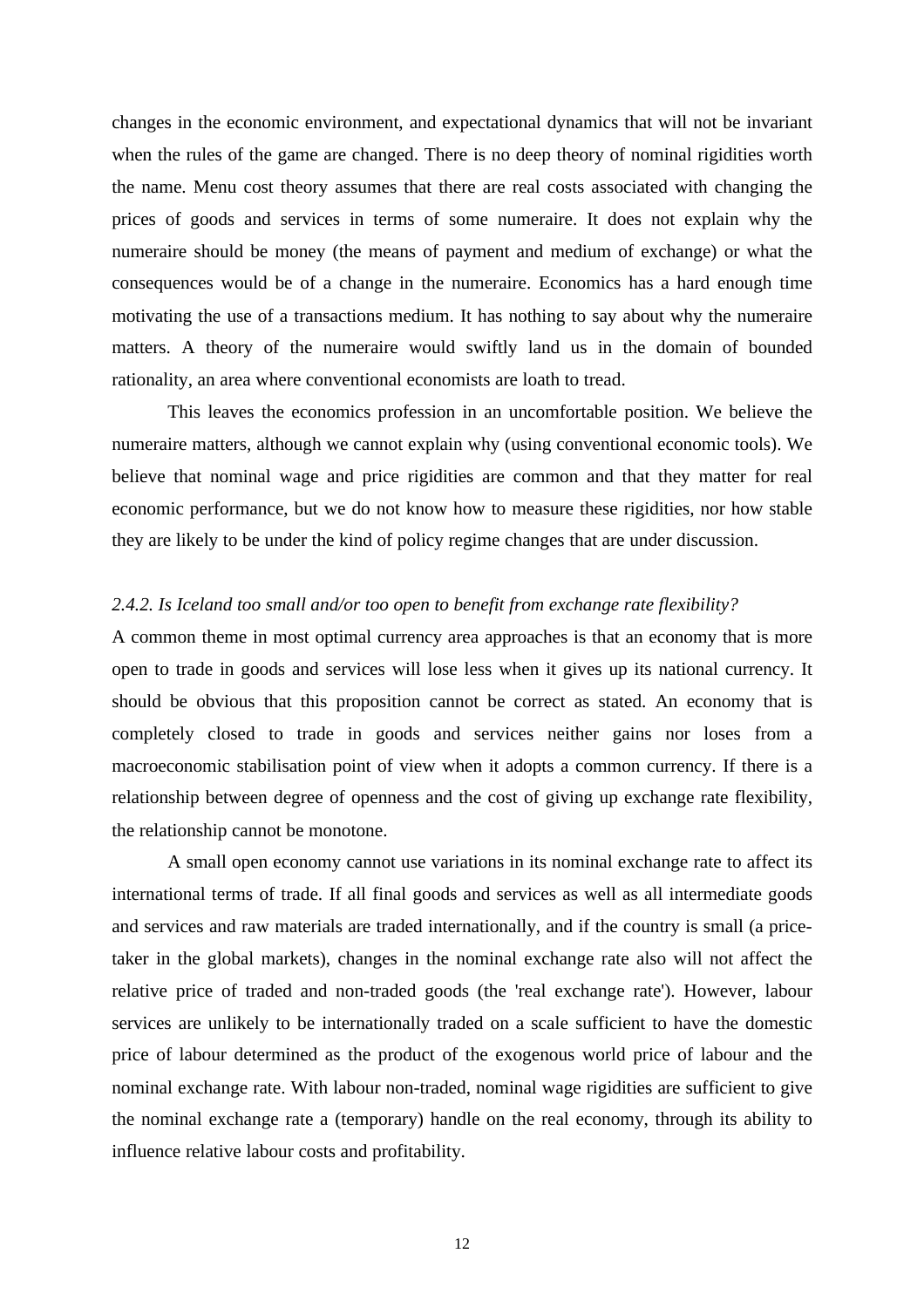changes in the economic environment, and expectational dynamics that will not be invariant when the rules of the game are changed. There is no deep theory of nominal rigidities worth the name. Menu cost theory assumes that there are real costs associated with changing the prices of goods and services in terms of some numeraire. It does not explain why the numeraire should be money (the means of payment and medium of exchange) or what the consequences would be of a change in the numeraire. Economics has a hard enough time motivating the use of a transactions medium. It has nothing to say about why the numeraire matters. A theory of the numeraire would swiftly land us in the domain of bounded rationality, an area where conventional economists are loath to tread.

This leaves the economics profession in an uncomfortable position. We believe the numeraire matters, although we cannot explain why (using conventional economic tools). We believe that nominal wage and price rigidities are common and that they matter for real economic performance, but we do not know how to measure these rigidities, nor how stable they are likely to be under the kind of policy regime changes that are under discussion.

#### *2.4.2. Is Iceland too small and/or too open to benefit from exchange rate flexibility?*

A common theme in most optimal currency area approaches is that an economy that is more open to trade in goods and services will lose less when it gives up its national currency. It should be obvious that this proposition cannot be correct as stated. An economy that is completely closed to trade in goods and services neither gains nor loses from a macroeconomic stabilisation point of view when it adopts a common currency. If there is a relationship between degree of openness and the cost of giving up exchange rate flexibility, the relationship cannot be monotone.

A small open economy cannot use variations in its nominal exchange rate to affect its international terms of trade. If all final goods and services as well as all intermediate goods and services and raw materials are traded internationally, and if the country is small (a pricetaker in the global markets), changes in the nominal exchange rate also will not affect the relative price of traded and non-traded goods (the 'real exchange rate'). However, labour services are unlikely to be internationally traded on a scale sufficient to have the domestic price of labour determined as the product of the exogenous world price of labour and the nominal exchange rate. With labour non-traded, nominal wage rigidities are sufficient to give the nominal exchange rate a (temporary) handle on the real economy, through its ability to influence relative labour costs and profitability.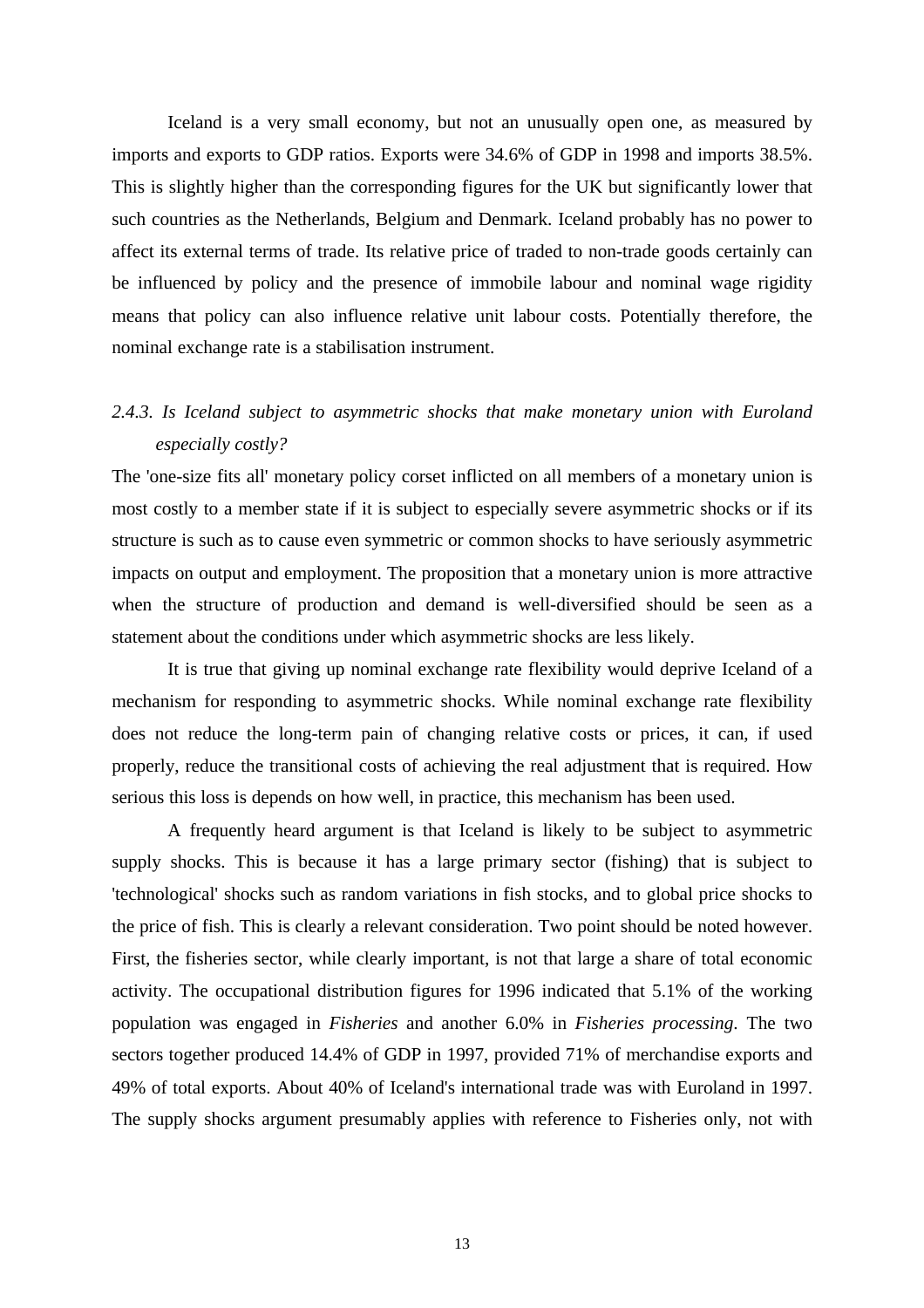Iceland is a very small economy, but not an unusually open one, as measured by imports and exports to GDP ratios. Exports were 34.6% of GDP in 1998 and imports 38.5%. This is slightly higher than the corresponding figures for the UK but significantly lower that such countries as the Netherlands, Belgium and Denmark. Iceland probably has no power to affect its external terms of trade. Its relative price of traded to non-trade goods certainly can be influenced by policy and the presence of immobile labour and nominal wage rigidity means that policy can also influence relative unit labour costs. Potentially therefore, the nominal exchange rate is a stabilisation instrument.

# *2.4.3. Is Iceland subject to asymmetric shocks that make monetary union with Euroland especially costly?*

The 'one-size fits all' monetary policy corset inflicted on all members of a monetary union is most costly to a member state if it is subject to especially severe asymmetric shocks or if its structure is such as to cause even symmetric or common shocks to have seriously asymmetric impacts on output and employment. The proposition that a monetary union is more attractive when the structure of production and demand is well-diversified should be seen as a statement about the conditions under which asymmetric shocks are less likely.

It is true that giving up nominal exchange rate flexibility would deprive Iceland of a mechanism for responding to asymmetric shocks. While nominal exchange rate flexibility does not reduce the long-term pain of changing relative costs or prices, it can, if used properly, reduce the transitional costs of achieving the real adjustment that is required. How serious this loss is depends on how well, in practice, this mechanism has been used.

A frequently heard argument is that Iceland is likely to be subject to asymmetric supply shocks. This is because it has a large primary sector (fishing) that is subject to 'technological' shocks such as random variations in fish stocks, and to global price shocks to the price of fish. This is clearly a relevant consideration. Two point should be noted however. First, the fisheries sector, while clearly important, is not that large a share of total economic activity. The occupational distribution figures for 1996 indicated that 5.1% of the working population was engaged in *Fisheries* and another 6.0% in *Fisheries processing*. The two sectors together produced 14.4% of GDP in 1997, provided 71% of merchandise exports and 49% of total exports. About 40% of Iceland's international trade was with Euroland in 1997. The supply shocks argument presumably applies with reference to Fisheries only, not with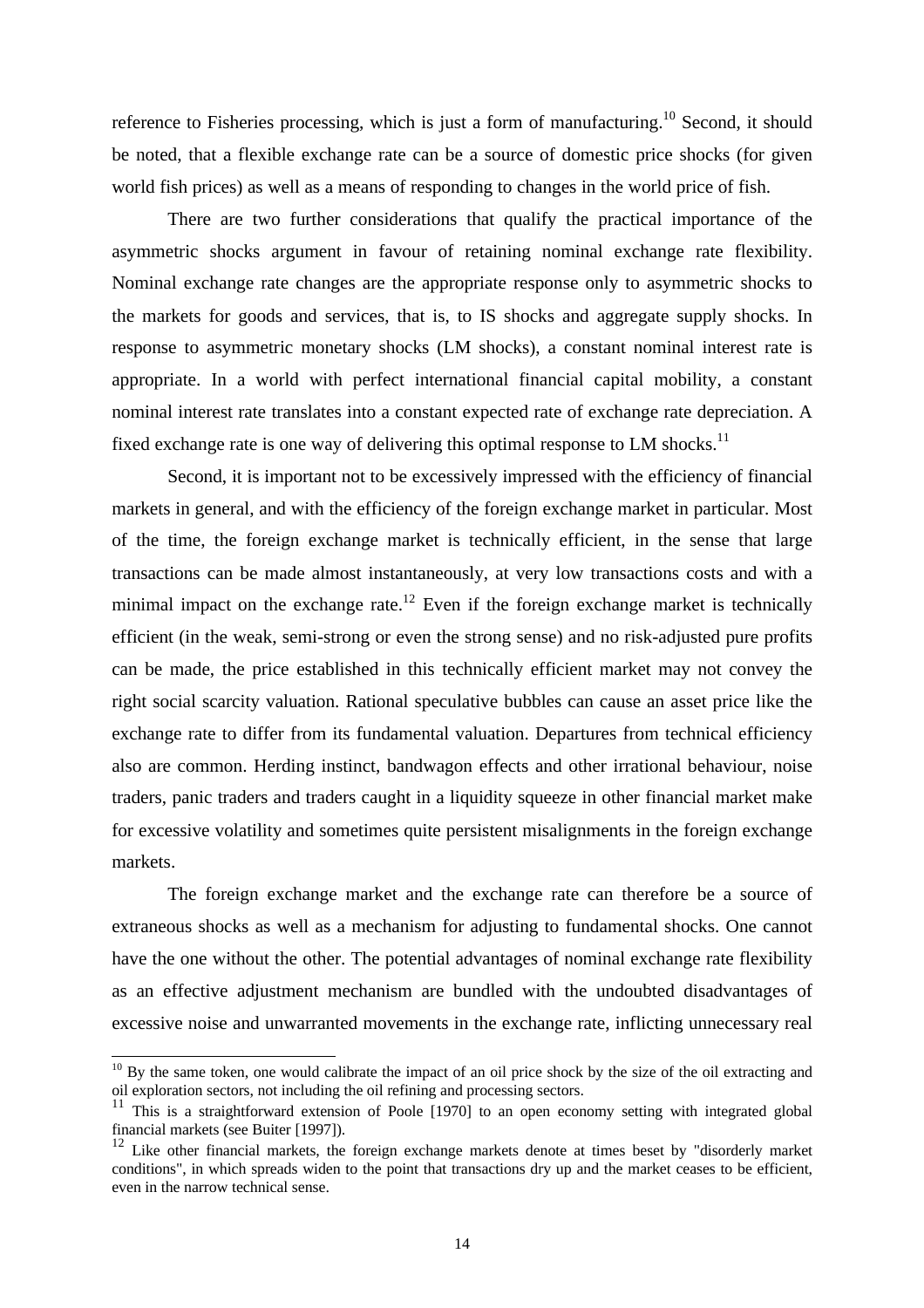reference to Fisheries processing, which is just a form of manufacturing.<sup>10</sup> Second, it should be noted, that a flexible exchange rate can be a source of domestic price shocks (for given world fish prices) as well as a means of responding to changes in the world price of fish.

There are two further considerations that qualify the practical importance of the asymmetric shocks argument in favour of retaining nominal exchange rate flexibility. Nominal exchange rate changes are the appropriate response only to asymmetric shocks to the markets for goods and services, that is, to IS shocks and aggregate supply shocks. In response to asymmetric monetary shocks (LM shocks), a constant nominal interest rate is appropriate. In a world with perfect international financial capital mobility, a constant nominal interest rate translates into a constant expected rate of exchange rate depreciation. A fixed exchange rate is one way of delivering this optimal response to LM shocks.<sup>11</sup>

Second, it is important not to be excessively impressed with the efficiency of financial markets in general, and with the efficiency of the foreign exchange market in particular. Most of the time, the foreign exchange market is technically efficient, in the sense that large transactions can be made almost instantaneously, at very low transactions costs and with a minimal impact on the exchange rate.<sup>12</sup> Even if the foreign exchange market is technically efficient (in the weak, semi-strong or even the strong sense) and no risk-adjusted pure profits can be made, the price established in this technically efficient market may not convey the right social scarcity valuation. Rational speculative bubbles can cause an asset price like the exchange rate to differ from its fundamental valuation. Departures from technical efficiency also are common. Herding instinct, bandwagon effects and other irrational behaviour, noise traders, panic traders and traders caught in a liquidity squeeze in other financial market make for excessive volatility and sometimes quite persistent misalignments in the foreign exchange markets.

The foreign exchange market and the exchange rate can therefore be a source of extraneous shocks as well as a mechanism for adjusting to fundamental shocks. One cannot have the one without the other. The potential advantages of nominal exchange rate flexibility as an effective adjustment mechanism are bundled with the undoubted disadvantages of excessive noise and unwarranted movements in the exchange rate, inflicting unnecessary real

<sup>&</sup>lt;sup>10</sup> By the same token, one would calibrate the impact of an oil price shock by the size of the oil extracting and oil exploration sectors, not including the oil refining and processing sectors.

<sup>&</sup>lt;sup>11</sup> This is a straightforward extension of Poole [1970] to an open economy setting with integrated global financial markets (see Buiter [1997]).

 $12$  Like other financial markets, the foreign exchange markets denote at times beset by "disorderly market" conditions", in which spreads widen to the point that transactions dry up and the market ceases to be efficient, even in the narrow technical sense.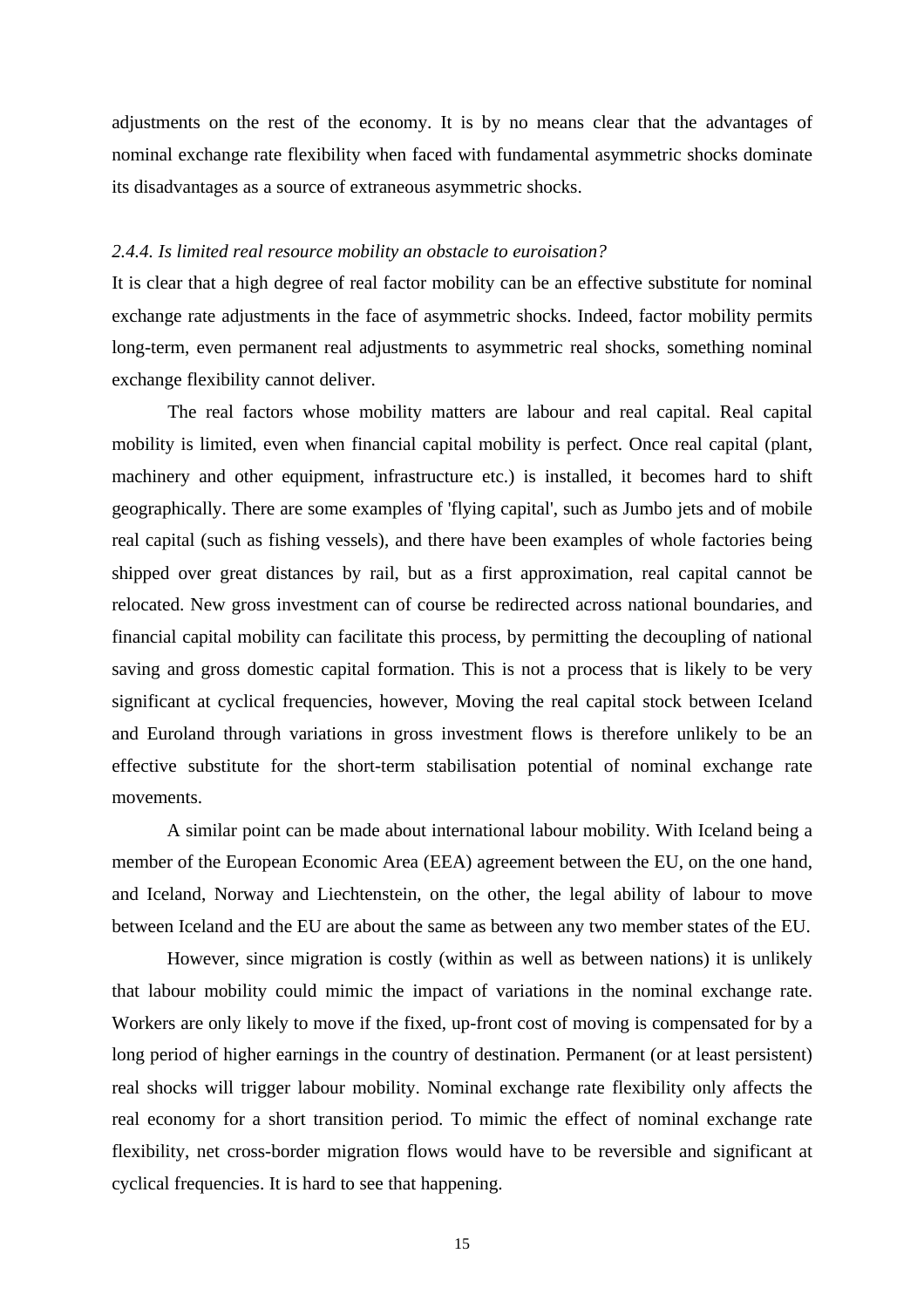adjustments on the rest of the economy. It is by no means clear that the advantages of nominal exchange rate flexibility when faced with fundamental asymmetric shocks dominate its disadvantages as a source of extraneous asymmetric shocks.

#### *2.4.4. Is limited real resource mobility an obstacle to euroisation?*

It is clear that a high degree of real factor mobility can be an effective substitute for nominal exchange rate adjustments in the face of asymmetric shocks. Indeed, factor mobility permits long-term, even permanent real adjustments to asymmetric real shocks, something nominal exchange flexibility cannot deliver.

The real factors whose mobility matters are labour and real capital. Real capital mobility is limited, even when financial capital mobility is perfect. Once real capital (plant, machinery and other equipment, infrastructure etc.) is installed, it becomes hard to shift geographically. There are some examples of 'flying capital', such as Jumbo jets and of mobile real capital (such as fishing vessels), and there have been examples of whole factories being shipped over great distances by rail, but as a first approximation, real capital cannot be relocated. New gross investment can of course be redirected across national boundaries, and financial capital mobility can facilitate this process, by permitting the decoupling of national saving and gross domestic capital formation. This is not a process that is likely to be very significant at cyclical frequencies, however, Moving the real capital stock between Iceland and Euroland through variations in gross investment flows is therefore unlikely to be an effective substitute for the short-term stabilisation potential of nominal exchange rate movements.

A similar point can be made about international labour mobility. With Iceland being a member of the European Economic Area (EEA) agreement between the EU, on the one hand, and Iceland, Norway and Liechtenstein, on the other, the legal ability of labour to move between Iceland and the EU are about the same as between any two member states of the EU.

However, since migration is costly (within as well as between nations) it is unlikely that labour mobility could mimic the impact of variations in the nominal exchange rate. Workers are only likely to move if the fixed, up-front cost of moving is compensated for by a long period of higher earnings in the country of destination. Permanent (or at least persistent) real shocks will trigger labour mobility. Nominal exchange rate flexibility only affects the real economy for a short transition period. To mimic the effect of nominal exchange rate flexibility, net cross-border migration flows would have to be reversible and significant at cyclical frequencies. It is hard to see that happening.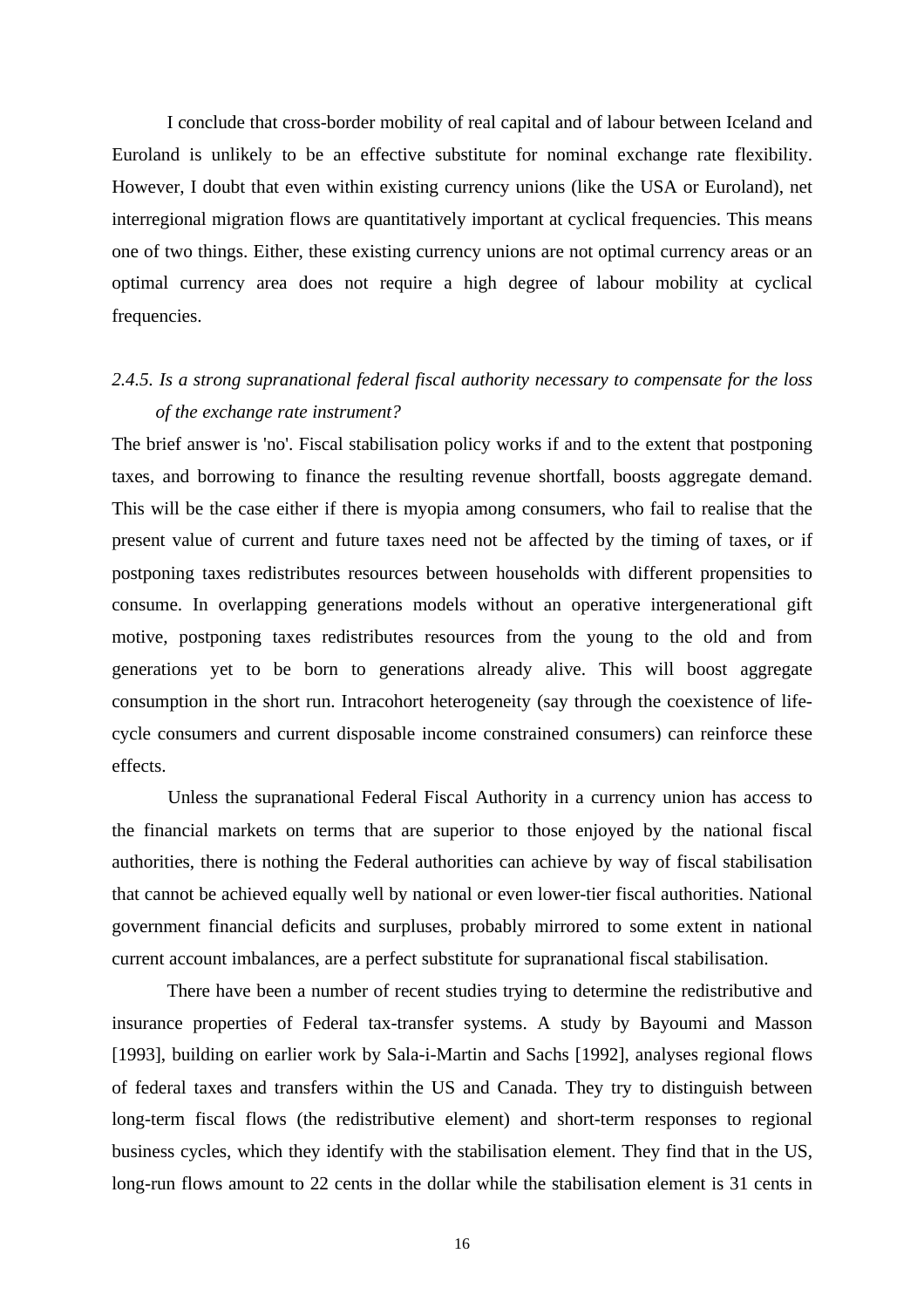I conclude that cross-border mobility of real capital and of labour between Iceland and Euroland is unlikely to be an effective substitute for nominal exchange rate flexibility. However, I doubt that even within existing currency unions (like the USA or Euroland), net interregional migration flows are quantitatively important at cyclical frequencies. This means one of two things. Either, these existing currency unions are not optimal currency areas or an optimal currency area does not require a high degree of labour mobility at cyclical frequencies.

# *2.4.5. Is a strong supranational federal fiscal authority necessary to compensate for the loss of the exchange rate instrument?*

The brief answer is 'no'. Fiscal stabilisation policy works if and to the extent that postponing taxes, and borrowing to finance the resulting revenue shortfall, boosts aggregate demand. This will be the case either if there is myopia among consumers, who fail to realise that the present value of current and future taxes need not be affected by the timing of taxes, or if postponing taxes redistributes resources between households with different propensities to consume. In overlapping generations models without an operative intergenerational gift motive, postponing taxes redistributes resources from the young to the old and from generations yet to be born to generations already alive. This will boost aggregate consumption in the short run. Intracohort heterogeneity (say through the coexistence of lifecycle consumers and current disposable income constrained consumers) can reinforce these effects.

Unless the supranational Federal Fiscal Authority in a currency union has access to the financial markets on terms that are superior to those enjoyed by the national fiscal authorities, there is nothing the Federal authorities can achieve by way of fiscal stabilisation that cannot be achieved equally well by national or even lower-tier fiscal authorities. National government financial deficits and surpluses, probably mirrored to some extent in national current account imbalances, are a perfect substitute for supranational fiscal stabilisation.

There have been a number of recent studies trying to determine the redistributive and insurance properties of Federal tax-transfer systems. A study by Bayoumi and Masson [1993], building on earlier work by Sala-i-Martin and Sachs [1992], analyses regional flows of federal taxes and transfers within the US and Canada. They try to distinguish between long-term fiscal flows (the redistributive element) and short-term responses to regional business cycles, which they identify with the stabilisation element. They find that in the US, long-run flows amount to 22 cents in the dollar while the stabilisation element is 31 cents in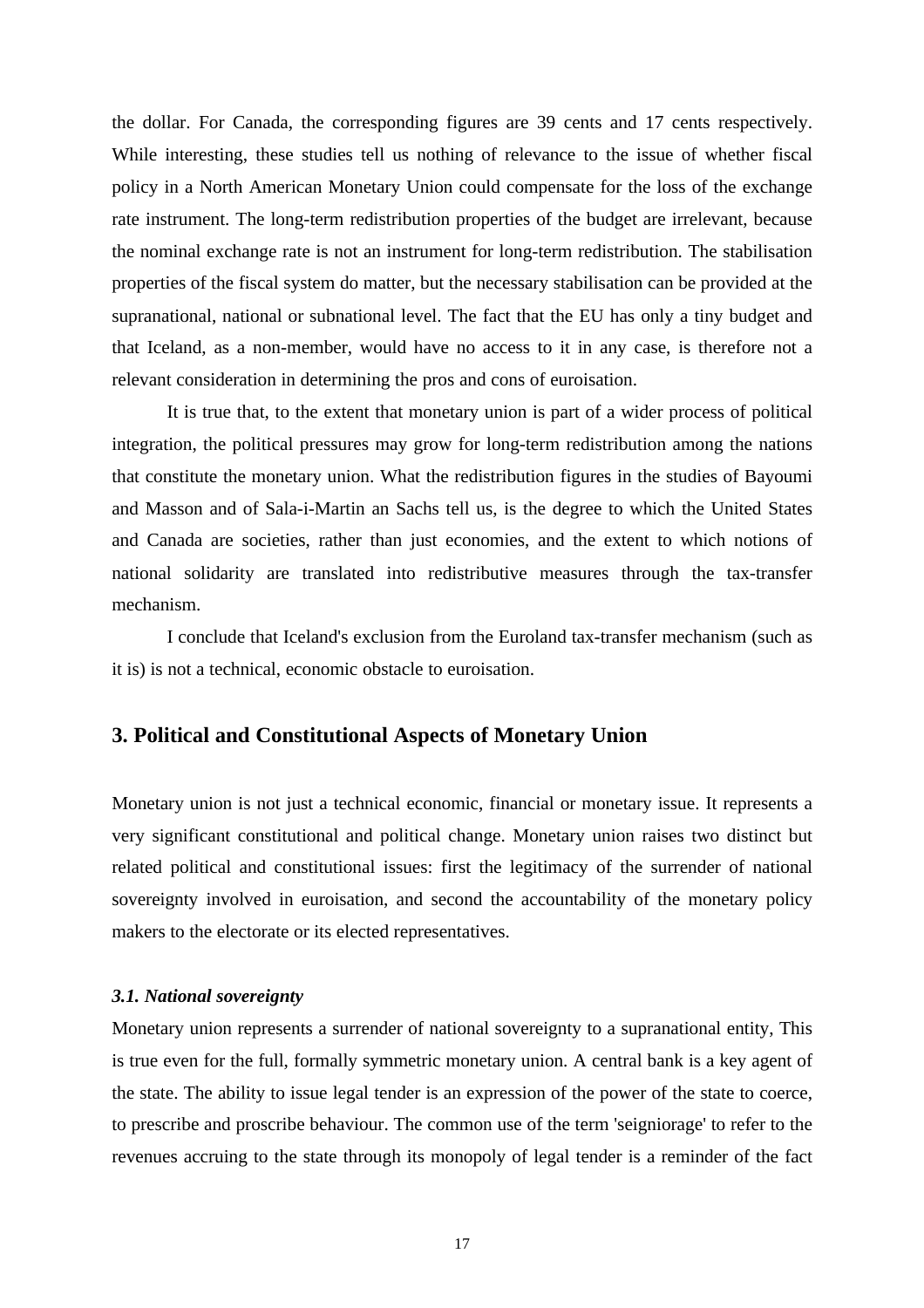the dollar. For Canada, the corresponding figures are 39 cents and 17 cents respectively. While interesting, these studies tell us nothing of relevance to the issue of whether fiscal policy in a North American Monetary Union could compensate for the loss of the exchange rate instrument. The long-term redistribution properties of the budget are irrelevant, because the nominal exchange rate is not an instrument for long-term redistribution. The stabilisation properties of the fiscal system do matter, but the necessary stabilisation can be provided at the supranational, national or subnational level. The fact that the EU has only a tiny budget and that Iceland, as a non-member, would have no access to it in any case, is therefore not a relevant consideration in determining the pros and cons of euroisation.

It is true that, to the extent that monetary union is part of a wider process of political integration, the political pressures may grow for long-term redistribution among the nations that constitute the monetary union. What the redistribution figures in the studies of Bayoumi and Masson and of Sala-i-Martin an Sachs tell us, is the degree to which the United States and Canada are societies, rather than just economies, and the extent to which notions of national solidarity are translated into redistributive measures through the tax-transfer mechanism.

I conclude that Iceland's exclusion from the Euroland tax-transfer mechanism (such as it is) is not a technical, economic obstacle to euroisation.

### **3. Political and Constitutional Aspects of Monetary Union**

Monetary union is not just a technical economic, financial or monetary issue. It represents a very significant constitutional and political change. Monetary union raises two distinct but related political and constitutional issues: first the legitimacy of the surrender of national sovereignty involved in euroisation, and second the accountability of the monetary policy makers to the electorate or its elected representatives.

#### *3.1. National sovereignty*

Monetary union represents a surrender of national sovereignty to a supranational entity, This is true even for the full, formally symmetric monetary union. A central bank is a key agent of the state. The ability to issue legal tender is an expression of the power of the state to coerce, to prescribe and proscribe behaviour. The common use of the term 'seigniorage' to refer to the revenues accruing to the state through its monopoly of legal tender is a reminder of the fact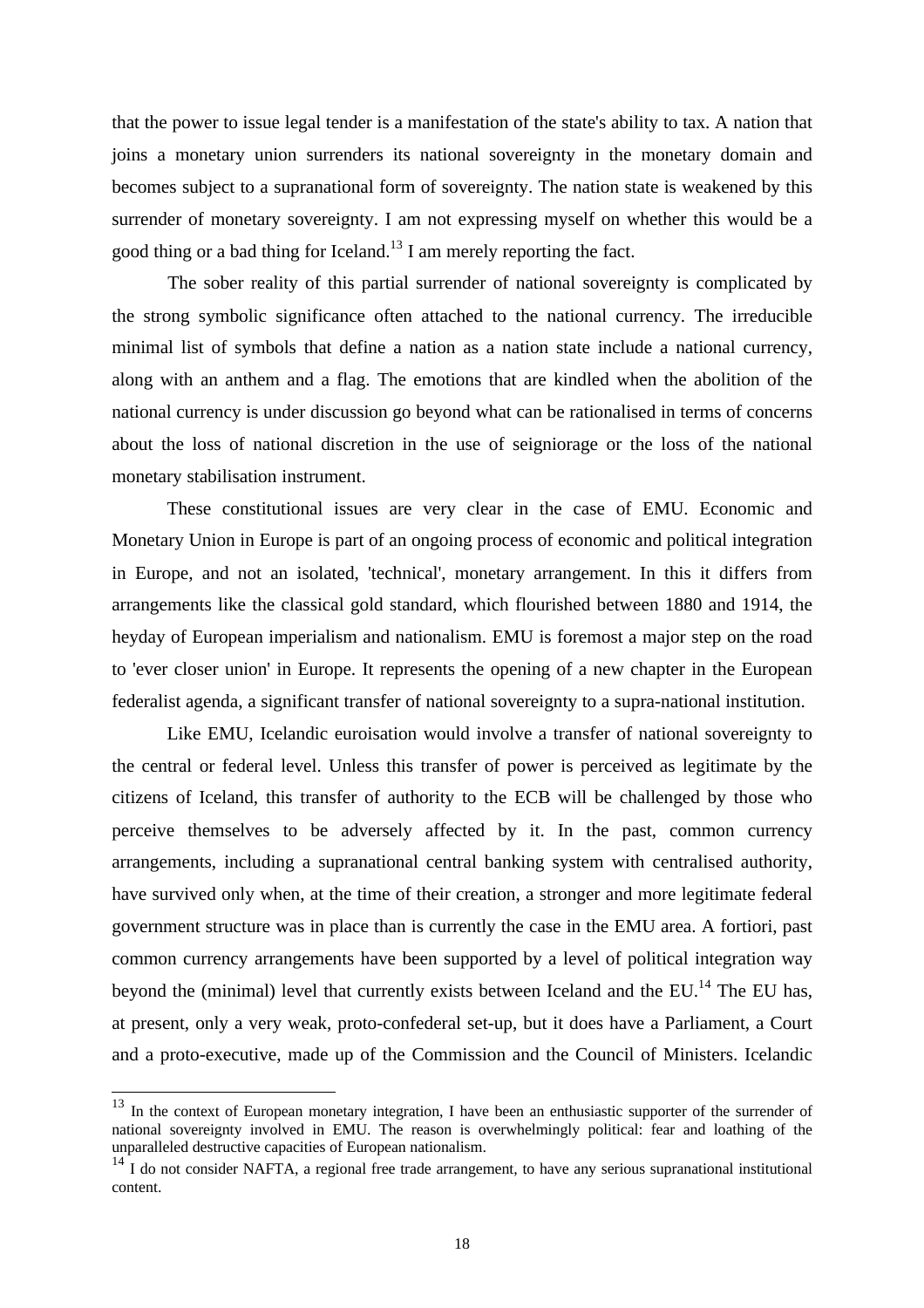that the power to issue legal tender is a manifestation of the state's ability to tax. A nation that joins a monetary union surrenders its national sovereignty in the monetary domain and becomes subject to a supranational form of sovereignty. The nation state is weakened by this surrender of monetary sovereignty. I am not expressing myself on whether this would be a good thing or a bad thing for Iceland.<sup>13</sup> I am merely reporting the fact.

The sober reality of this partial surrender of national sovereignty is complicated by the strong symbolic significance often attached to the national currency. The irreducible minimal list of symbols that define a nation as a nation state include a national currency, along with an anthem and a flag. The emotions that are kindled when the abolition of the national currency is under discussion go beyond what can be rationalised in terms of concerns about the loss of national discretion in the use of seigniorage or the loss of the national monetary stabilisation instrument.

These constitutional issues are very clear in the case of EMU. Economic and Monetary Union in Europe is part of an ongoing process of economic and political integration in Europe, and not an isolated, 'technical', monetary arrangement. In this it differs from arrangements like the classical gold standard, which flourished between 1880 and 1914, the heyday of European imperialism and nationalism. EMU is foremost a major step on the road to 'ever closer union' in Europe. It represents the opening of a new chapter in the European federalist agenda, a significant transfer of national sovereignty to a supra-national institution.

Like EMU, Icelandic euroisation would involve a transfer of national sovereignty to the central or federal level. Unless this transfer of power is perceived as legitimate by the citizens of Iceland, this transfer of authority to the ECB will be challenged by those who perceive themselves to be adversely affected by it. In the past, common currency arrangements, including a supranational central banking system with centralised authority, have survived only when, at the time of their creation, a stronger and more legitimate federal government structure was in place than is currently the case in the EMU area. A fortiori, past common currency arrangements have been supported by a level of political integration way beyond the (minimal) level that currently exists between Iceland and the  $EU^{14}$ . The EU has, at present, only a very weak, proto-confederal set-up, but it does have a Parliament, a Court and a proto-executive, made up of the Commission and the Council of Ministers. Icelandic

<sup>&</sup>lt;sup>13</sup> In the context of European monetary integration, I have been an enthusiastic supporter of the surrender of national sovereignty involved in EMU. The reason is overwhelmingly political: fear and loathing of the unparalleled destructive capacities of European nationalism.

<sup>&</sup>lt;sup>14</sup> I do not consider NAFTA, a regional free trade arrangement, to have any serious supranational institutional content.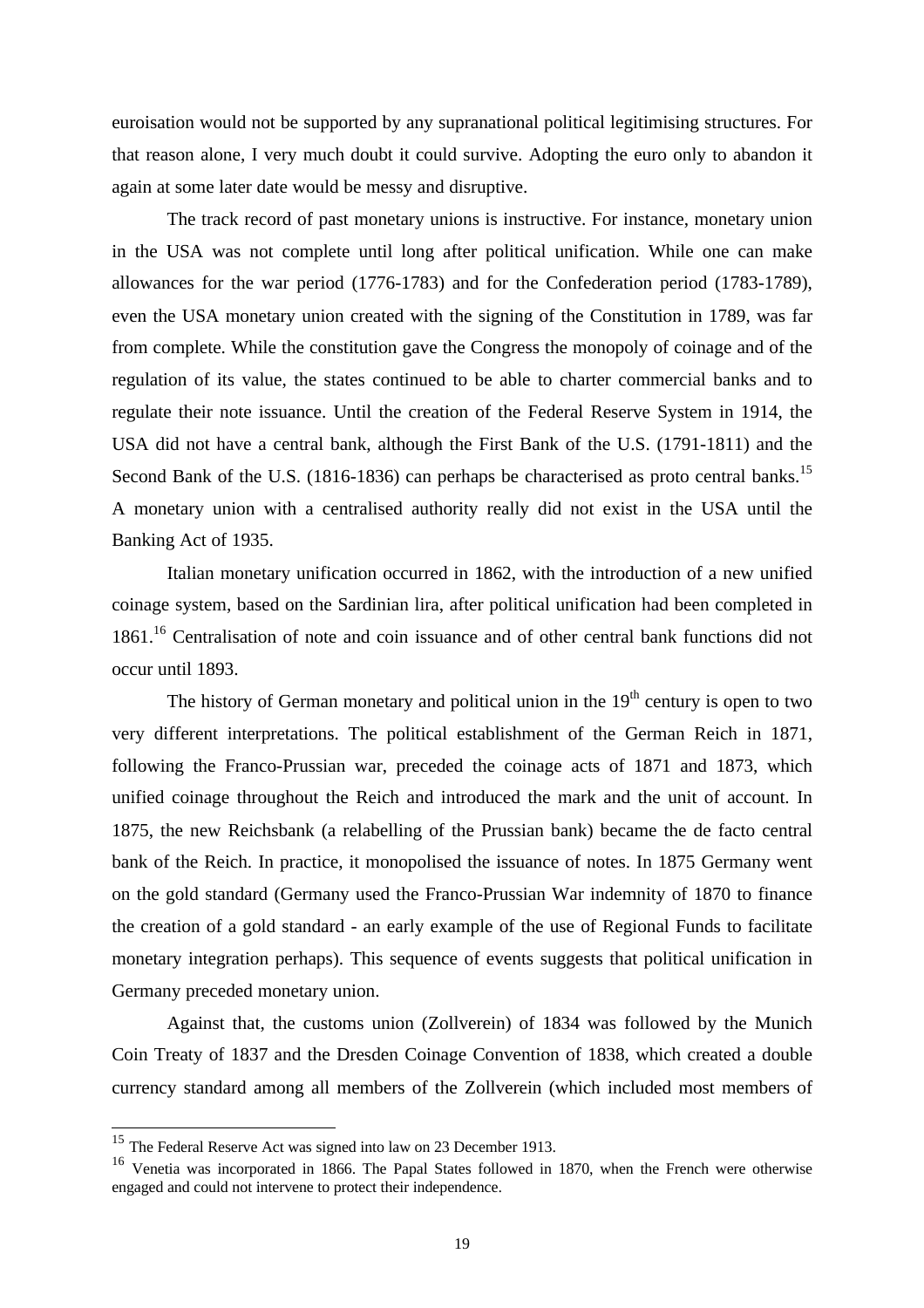euroisation would not be supported by any supranational political legitimising structures. For that reason alone, I very much doubt it could survive. Adopting the euro only to abandon it again at some later date would be messy and disruptive.

The track record of past monetary unions is instructive. For instance, monetary union in the USA was not complete until long after political unification. While one can make allowances for the war period (1776-1783) and for the Confederation period (1783-1789), even the USA monetary union created with the signing of the Constitution in 1789, was far from complete. While the constitution gave the Congress the monopoly of coinage and of the regulation of its value, the states continued to be able to charter commercial banks and to regulate their note issuance. Until the creation of the Federal Reserve System in 1914, the USA did not have a central bank, although the First Bank of the U.S. (1791-1811) and the Second Bank of the U.S. (1816-1836) can perhaps be characterised as proto central banks.<sup>15</sup> A monetary union with a centralised authority really did not exist in the USA until the Banking Act of 1935.

Italian monetary unification occurred in 1862, with the introduction of a new unified coinage system, based on the Sardinian lira, after political unification had been completed in 1861.<sup>16</sup> Centralisation of note and coin issuance and of other central bank functions did not occur until 1893.

The history of German monetary and political union in the  $19<sup>th</sup>$  century is open to two very different interpretations. The political establishment of the German Reich in 1871, following the Franco-Prussian war, preceded the coinage acts of 1871 and 1873, which unified coinage throughout the Reich and introduced the mark and the unit of account. In 1875, the new Reichsbank (a relabelling of the Prussian bank) became the de facto central bank of the Reich. In practice, it monopolised the issuance of notes. In 1875 Germany went on the gold standard (Germany used the Franco-Prussian War indemnity of 1870 to finance the creation of a gold standard - an early example of the use of Regional Funds to facilitate monetary integration perhaps). This sequence of events suggests that political unification in Germany preceded monetary union.

Against that, the customs union (Zollverein) of 1834 was followed by the Munich Coin Treaty of 1837 and the Dresden Coinage Convention of 1838, which created a double currency standard among all members of the Zollverein (which included most members of

<sup>&</sup>lt;sup>15</sup> The Federal Reserve Act was signed into law on 23 December 1913.

<sup>16</sup> Venetia was incorporated in 1866. The Papal States followed in 1870, when the French were otherwise engaged and could not intervene to protect their independence.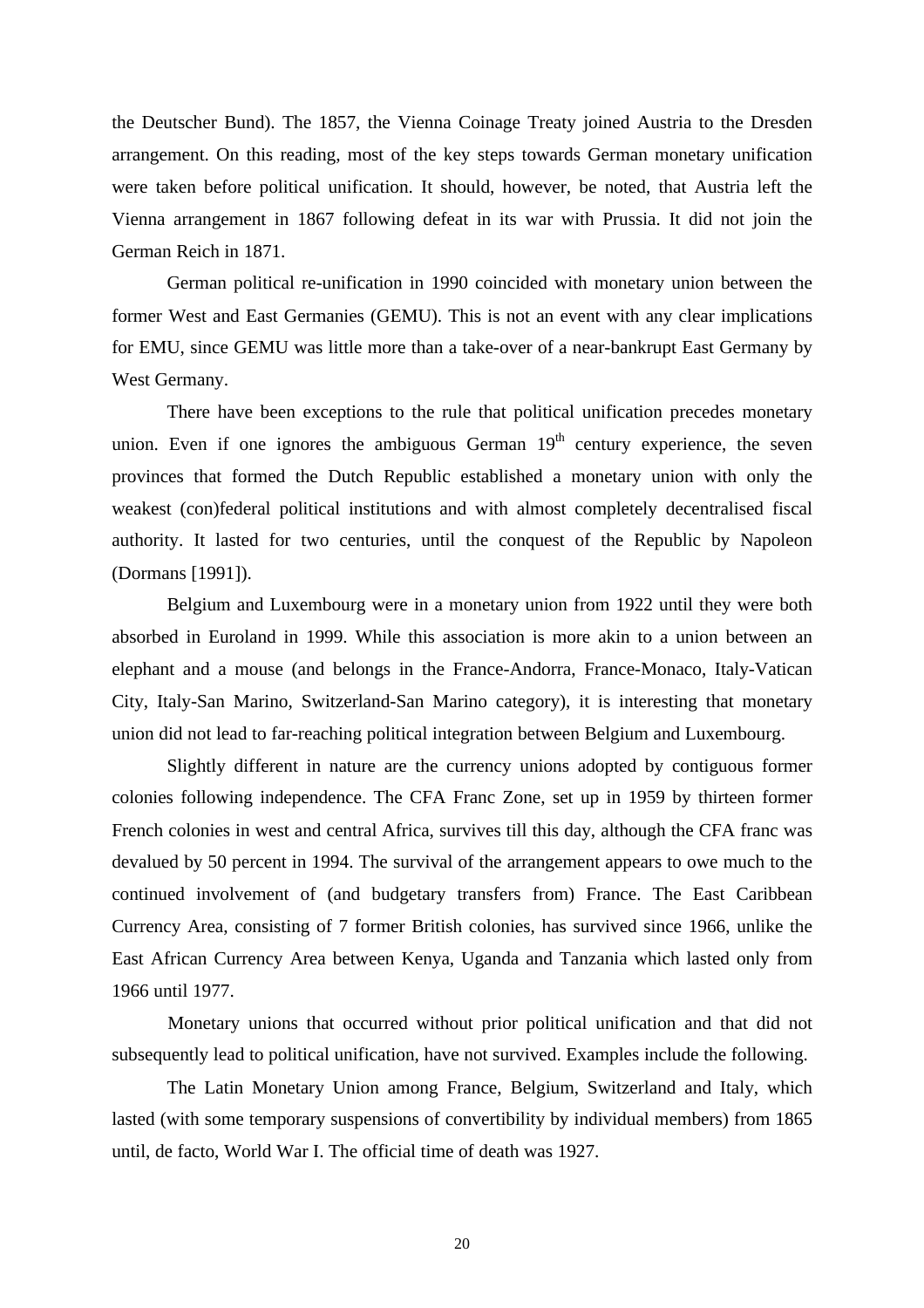the Deutscher Bund). The 1857, the Vienna Coinage Treaty joined Austria to the Dresden arrangement. On this reading, most of the key steps towards German monetary unification were taken before political unification. It should, however, be noted, that Austria left the Vienna arrangement in 1867 following defeat in its war with Prussia. It did not join the German Reich in 1871.

German political re-unification in 1990 coincided with monetary union between the former West and East Germanies (GEMU). This is not an event with any clear implications for EMU, since GEMU was little more than a take-over of a near-bankrupt East Germany by West Germany.

There have been exceptions to the rule that political unification precedes monetary union. Even if one ignores the ambiguous German  $19<sup>th</sup>$  century experience, the seven provinces that formed the Dutch Republic established a monetary union with only the weakest (con)federal political institutions and with almost completely decentralised fiscal authority. It lasted for two centuries, until the conquest of the Republic by Napoleon (Dormans [1991]).

Belgium and Luxembourg were in a monetary union from 1922 until they were both absorbed in Euroland in 1999. While this association is more akin to a union between an elephant and a mouse (and belongs in the France-Andorra, France-Monaco, Italy-Vatican City, Italy-San Marino, Switzerland-San Marino category), it is interesting that monetary union did not lead to far-reaching political integration between Belgium and Luxembourg.

Slightly different in nature are the currency unions adopted by contiguous former colonies following independence. The CFA Franc Zone, set up in 1959 by thirteen former French colonies in west and central Africa, survives till this day, although the CFA franc was devalued by 50 percent in 1994. The survival of the arrangement appears to owe much to the continued involvement of (and budgetary transfers from) France. The East Caribbean Currency Area, consisting of 7 former British colonies, has survived since 1966, unlike the East African Currency Area between Kenya, Uganda and Tanzania which lasted only from 1966 until 1977.

Monetary unions that occurred without prior political unification and that did not subsequently lead to political unification, have not survived. Examples include the following.

The Latin Monetary Union among France, Belgium, Switzerland and Italy, which lasted (with some temporary suspensions of convertibility by individual members) from 1865 until, de facto, World War I. The official time of death was 1927.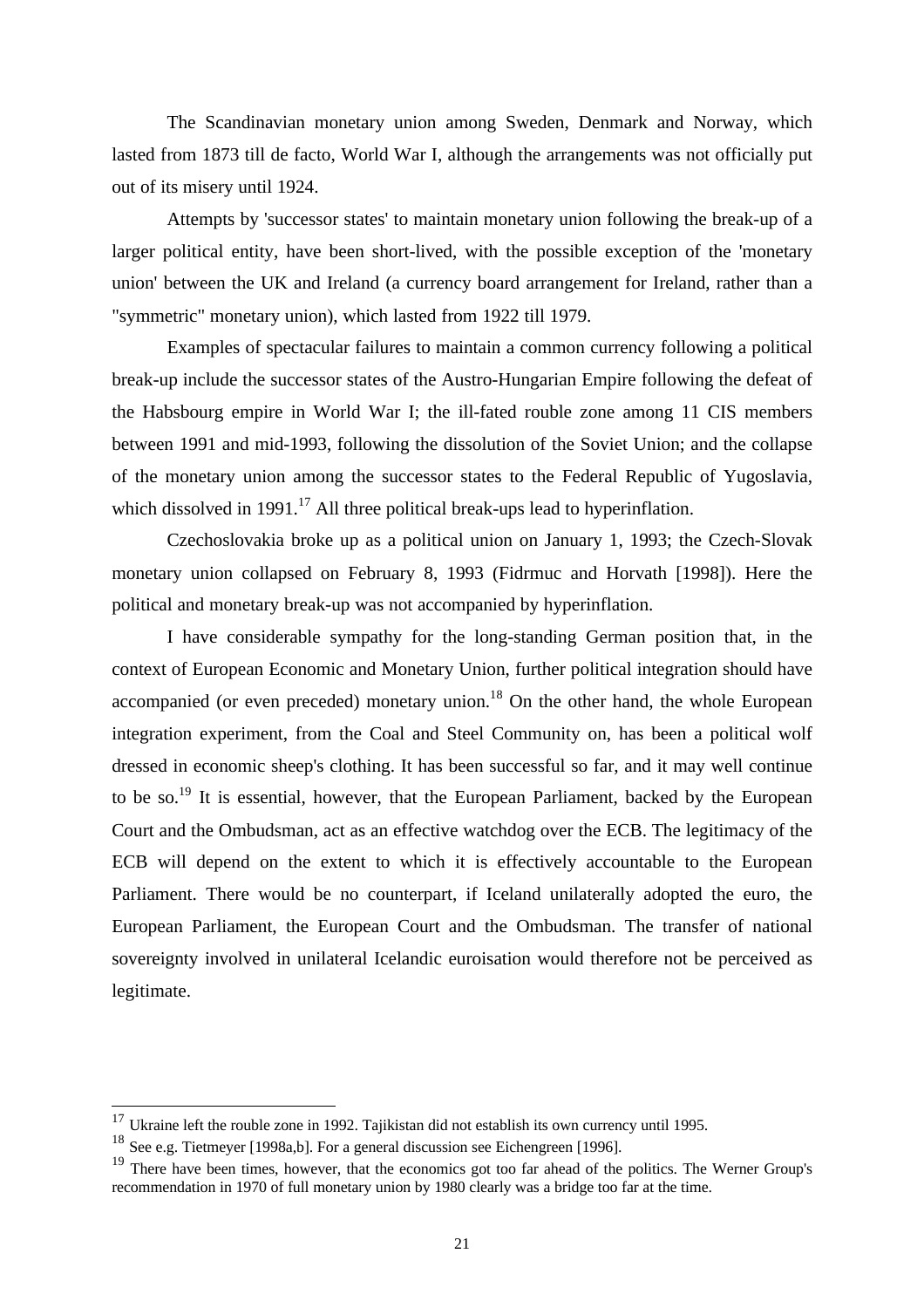The Scandinavian monetary union among Sweden, Denmark and Norway, which lasted from 1873 till de facto, World War I, although the arrangements was not officially put out of its misery until 1924.

Attempts by 'successor states' to maintain monetary union following the break-up of a larger political entity, have been short-lived, with the possible exception of the 'monetary union' between the UK and Ireland (a currency board arrangement for Ireland, rather than a "symmetric" monetary union), which lasted from 1922 till 1979.

Examples of spectacular failures to maintain a common currency following a political break-up include the successor states of the Austro-Hungarian Empire following the defeat of the Habsbourg empire in World War I; the ill-fated rouble zone among 11 CIS members between 1991 and mid-1993, following the dissolution of the Soviet Union; and the collapse of the monetary union among the successor states to the Federal Republic of Yugoslavia, which dissolved in 1991.<sup>17</sup> All three political break-ups lead to hyperinflation.

Czechoslovakia broke up as a political union on January 1, 1993; the Czech-Slovak monetary union collapsed on February 8, 1993 (Fidrmuc and Horvath [1998]). Here the political and monetary break-up was not accompanied by hyperinflation.

I have considerable sympathy for the long-standing German position that, in the context of European Economic and Monetary Union, further political integration should have accompanied (or even preceded) monetary union. $18$  On the other hand, the whole European integration experiment, from the Coal and Steel Community on, has been a political wolf dressed in economic sheep's clothing. It has been successful so far, and it may well continue to be so.<sup>19</sup> It is essential, however, that the European Parliament, backed by the European Court and the Ombudsman, act as an effective watchdog over the ECB. The legitimacy of the ECB will depend on the extent to which it is effectively accountable to the European Parliament. There would be no counterpart, if Iceland unilaterally adopted the euro, the European Parliament, the European Court and the Ombudsman. The transfer of national sovereignty involved in unilateral Icelandic euroisation would therefore not be perceived as legitimate.

 $17$  Ukraine left the rouble zone in 1992. Tajikistan did not establish its own currency until 1995.

<sup>&</sup>lt;sup>18</sup> See e.g. Tietmeyer [1998a,b]. For a general discussion see Eichengreen [1996].

<sup>&</sup>lt;sup>19</sup> There have been times, however, that the economics got too far ahead of the politics. The Werner Group's recommendation in 1970 of full monetary union by 1980 clearly was a bridge too far at the time.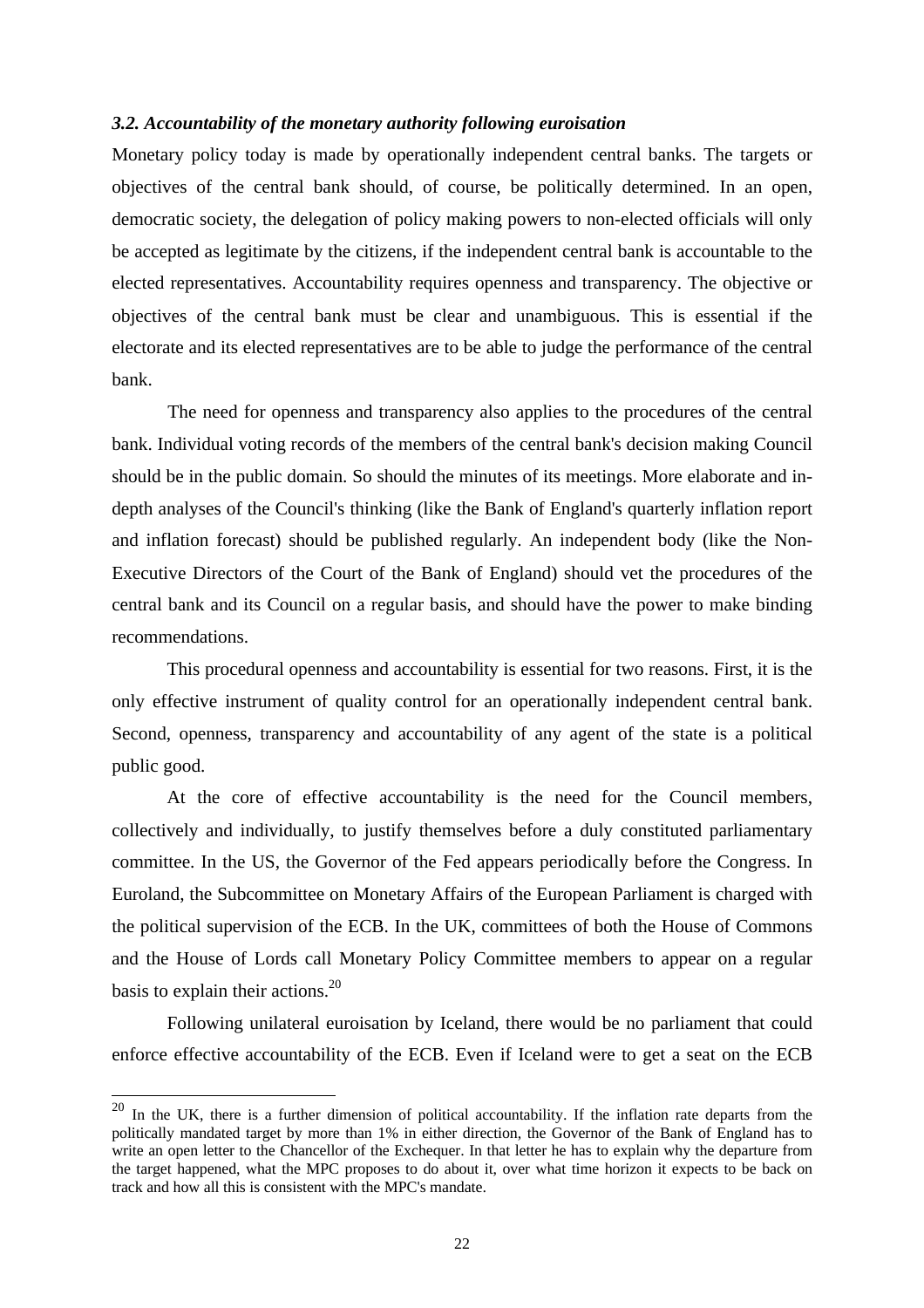#### *3.2. Accountability of the monetary authority following euroisation*

Monetary policy today is made by operationally independent central banks. The targets or objectives of the central bank should, of course, be politically determined. In an open, democratic society, the delegation of policy making powers to non-elected officials will only be accepted as legitimate by the citizens, if the independent central bank is accountable to the elected representatives. Accountability requires openness and transparency. The objective or objectives of the central bank must be clear and unambiguous. This is essential if the electorate and its elected representatives are to be able to judge the performance of the central bank.

The need for openness and transparency also applies to the procedures of the central bank. Individual voting records of the members of the central bank's decision making Council should be in the public domain. So should the minutes of its meetings. More elaborate and indepth analyses of the Council's thinking (like the Bank of England's quarterly inflation report and inflation forecast) should be published regularly. An independent body (like the Non-Executive Directors of the Court of the Bank of England) should vet the procedures of the central bank and its Council on a regular basis, and should have the power to make binding recommendations.

This procedural openness and accountability is essential for two reasons. First, it is the only effective instrument of quality control for an operationally independent central bank. Second, openness, transparency and accountability of any agent of the state is a political public good.

At the core of effective accountability is the need for the Council members, collectively and individually, to justify themselves before a duly constituted parliamentary committee. In the US, the Governor of the Fed appears periodically before the Congress. In Euroland, the Subcommittee on Monetary Affairs of the European Parliament is charged with the political supervision of the ECB. In the UK, committees of both the House of Commons and the House of Lords call Monetary Policy Committee members to appear on a regular basis to explain their actions. $^{20}$ 

Following unilateral euroisation by Iceland, there would be no parliament that could enforce effective accountability of the ECB. Even if Iceland were to get a seat on the ECB

 $20$  In the UK, there is a further dimension of political accountability. If the inflation rate departs from the politically mandated target by more than 1% in either direction, the Governor of the Bank of England has to write an open letter to the Chancellor of the Exchequer. In that letter he has to explain why the departure from the target happened, what the MPC proposes to do about it, over what time horizon it expects to be back on track and how all this is consistent with the MPC's mandate.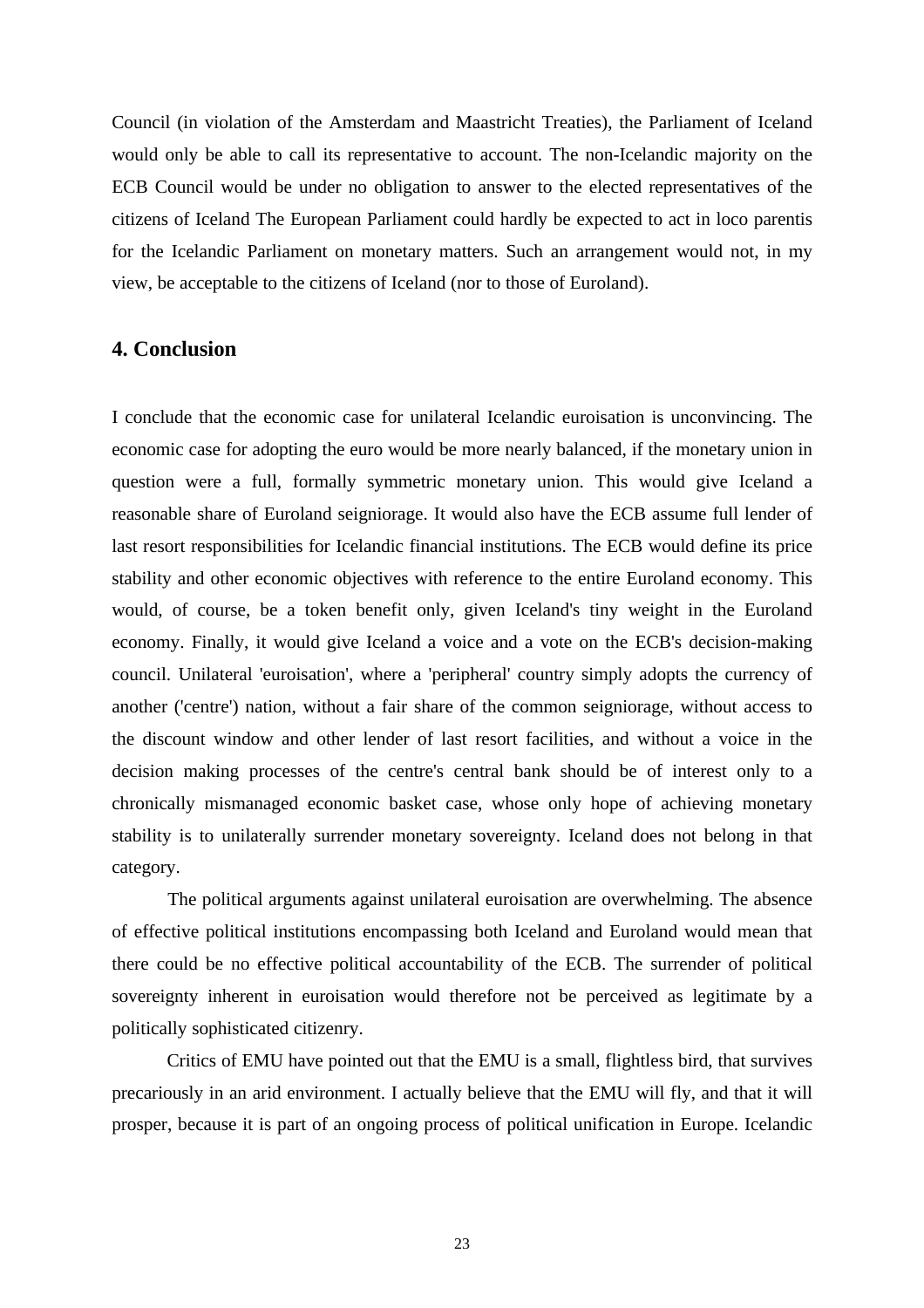Council (in violation of the Amsterdam and Maastricht Treaties), the Parliament of Iceland would only be able to call its representative to account. The non-Icelandic majority on the ECB Council would be under no obligation to answer to the elected representatives of the citizens of Iceland The European Parliament could hardly be expected to act in loco parentis for the Icelandic Parliament on monetary matters. Such an arrangement would not, in my view, be acceptable to the citizens of Iceland (nor to those of Euroland).

### **4. Conclusion**

I conclude that the economic case for unilateral Icelandic euroisation is unconvincing. The economic case for adopting the euro would be more nearly balanced, if the monetary union in question were a full, formally symmetric monetary union. This would give Iceland a reasonable share of Euroland seigniorage. It would also have the ECB assume full lender of last resort responsibilities for Icelandic financial institutions. The ECB would define its price stability and other economic objectives with reference to the entire Euroland economy. This would, of course, be a token benefit only, given Iceland's tiny weight in the Euroland economy. Finally, it would give Iceland a voice and a vote on the ECB's decision-making council. Unilateral 'euroisation', where a 'peripheral' country simply adopts the currency of another ('centre') nation, without a fair share of the common seigniorage, without access to the discount window and other lender of last resort facilities, and without a voice in the decision making processes of the centre's central bank should be of interest only to a chronically mismanaged economic basket case, whose only hope of achieving monetary stability is to unilaterally surrender monetary sovereignty. Iceland does not belong in that category.

The political arguments against unilateral euroisation are overwhelming. The absence of effective political institutions encompassing both Iceland and Euroland would mean that there could be no effective political accountability of the ECB. The surrender of political sovereignty inherent in euroisation would therefore not be perceived as legitimate by a politically sophisticated citizenry.

Critics of EMU have pointed out that the EMU is a small, flightless bird, that survives precariously in an arid environment. I actually believe that the EMU will fly, and that it will prosper, because it is part of an ongoing process of political unification in Europe. Icelandic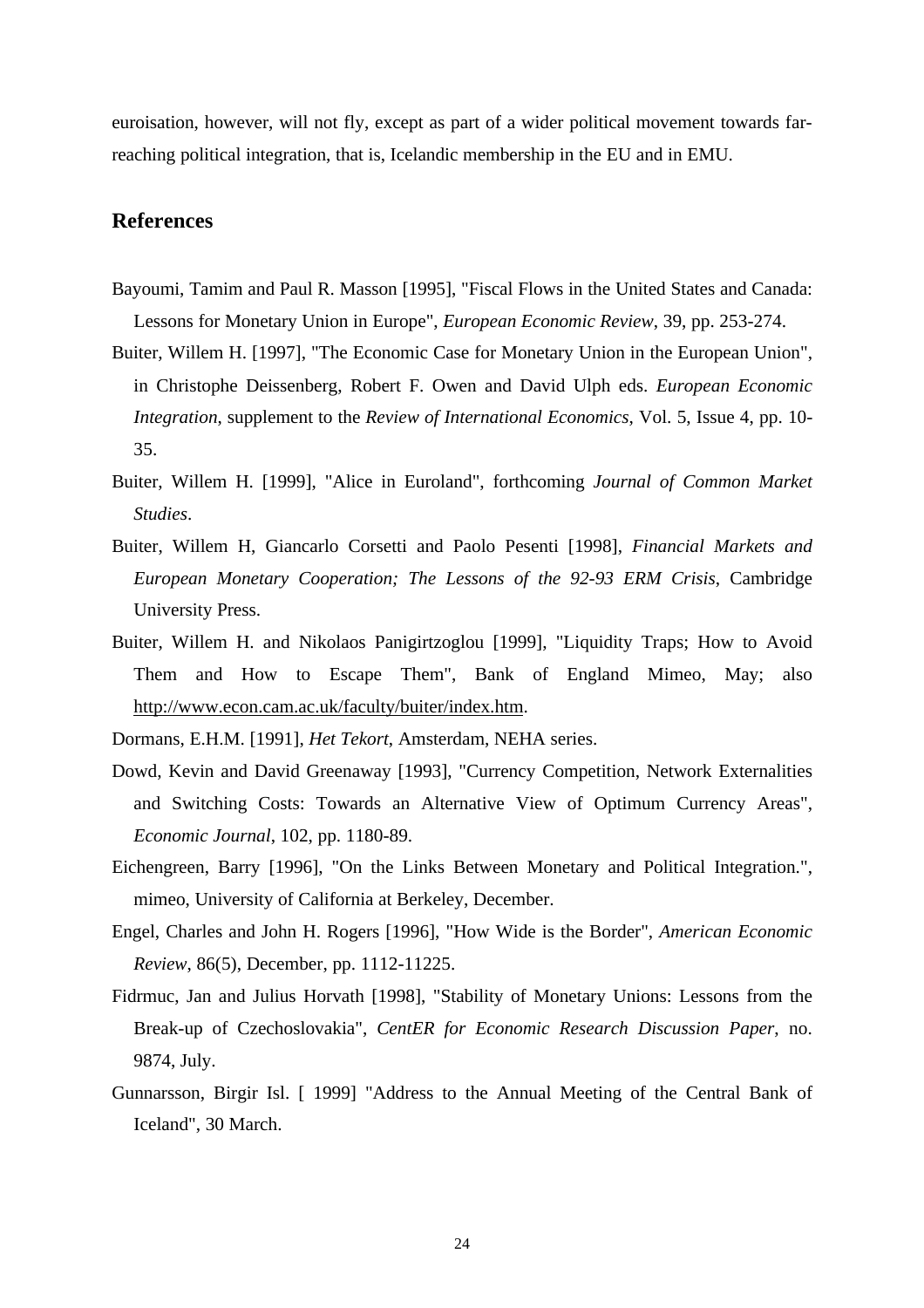euroisation, however, will not fly, except as part of a wider political movement towards farreaching political integration, that is, Icelandic membership in the EU and in EMU.

## **References**

- Bayoumi, Tamim and Paul R. Masson [1995], "Fiscal Flows in the United States and Canada: Lessons for Monetary Union in Europe", *European Economic Review*, 39, pp. 253-274.
- Buiter, Willem H. [1997], "The Economic Case for Monetary Union in the European Union", in Christophe Deissenberg, Robert F. Owen and David Ulph eds. *European Economic Integration*, supplement to the *Review of International Economics*, Vol. 5, Issue 4, pp. 10- 35.
- Buiter, Willem H. [1999], "Alice in Euroland", forthcoming *Journal of Common Market Studies*.
- Buiter, Willem H, Giancarlo Corsetti and Paolo Pesenti [1998], *Financial Markets and European Monetary Cooperation; The Lessons of the 92-93 ERM Crisis*, Cambridge University Press.
- Buiter, Willem H. and Nikolaos Panigirtzoglou [1999], "Liquidity Traps; How to Avoid Them and How to Escape Them", Bank of England Mimeo, May; also http://www.econ.cam.ac.uk/faculty/buiter/index.htm.

Dormans, E.H.M. [1991], *Het Tekort*, Amsterdam, NEHA series.

- Dowd, Kevin and David Greenaway [1993], "Currency Competition, Network Externalities and Switching Costs: Towards an Alternative View of Optimum Currency Areas", *Economic Journal*, 102, pp. 1180-89.
- Eichengreen, Barry [1996], "On the Links Between Monetary and Political Integration.", mimeo, University of California at Berkeley, December.
- Engel, Charles and John H. Rogers [1996], "How Wide is the Border", *American Economic Review*, 86(5), December, pp. 1112-11225.
- Fidrmuc, Jan and Julius Horvath [1998], "Stability of Monetary Unions: Lessons from the Break-up of Czechoslovakia", *CentER for Economic Research Discussion Paper*, no. 9874, July.
- Gunnarsson, Birgir Isl. [ 1999] "Address to the Annual Meeting of the Central Bank of Iceland", 30 March.